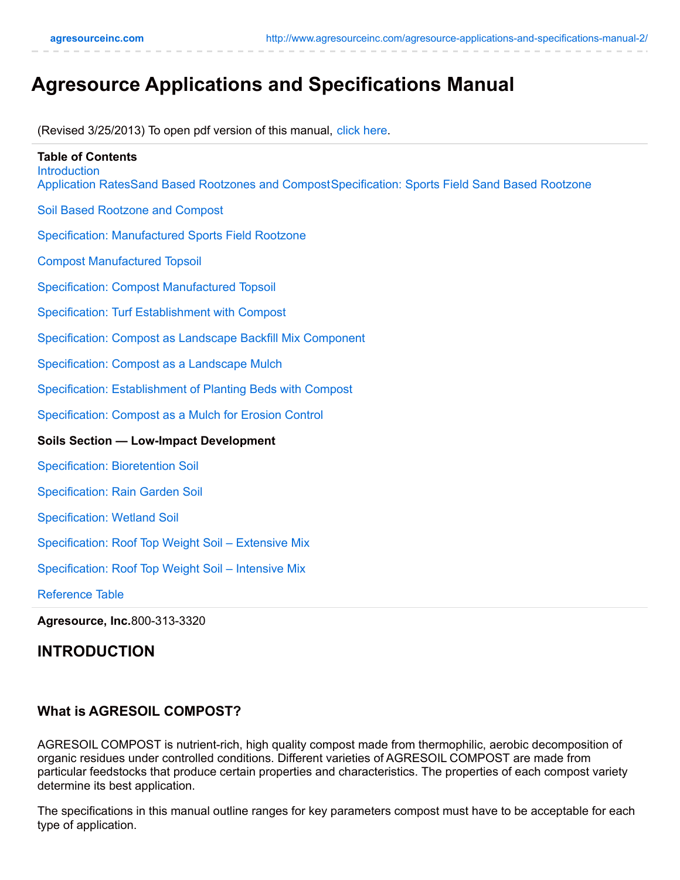# **Agresource Applications and Specifications Manual**

(Revised 3/25/2013) To open pdf version of this manual, [click](http://69.89.31.94/~agresou1/wp-content/uploads/2013/03/manual_updated_3_2013.pdf) here.

| <b>Table of Contents</b><br>Introduction<br>Application RatesSand Based Rootzones and CompostSpecification: Sports Field Sand Based Rootzone |
|----------------------------------------------------------------------------------------------------------------------------------------------|
| <b>Soil Based Rootzone and Compost</b>                                                                                                       |
| <b>Specification: Manufactured Sports Field Rootzone</b>                                                                                     |
| <b>Compost Manufactured Topsoil</b>                                                                                                          |
| <b>Specification: Compost Manufactured Topsoil</b>                                                                                           |
| Specification: Turf Establishment with Compost                                                                                               |
| Specification: Compost as Landscape Backfill Mix Component                                                                                   |
| Specification: Compost as a Landscape Mulch                                                                                                  |
| Specification: Establishment of Planting Beds with Compost                                                                                   |
| Specification: Compost as a Mulch for Erosion Control                                                                                        |
| <b>Soils Section - Low-Impact Development</b>                                                                                                |
| <b>Specification: Bioretention Soil</b>                                                                                                      |
| <b>Specification: Rain Garden Soil</b>                                                                                                       |
| <b>Specification: Wetland Soil</b>                                                                                                           |
| Specification: Roof Top Weight Soil - Extensive Mix                                                                                          |
| Specification: Roof Top Weight Soil - Intensive Mix                                                                                          |
| <b>Reference Table</b>                                                                                                                       |
| Agresource, Inc.800-313-3320                                                                                                                 |

# **INTRODUCTION**

#### **What is AGRESOIL COMPOST?**

AGRESOIL COMPOST is nutrient-rich, high quality compost made from thermophilic, aerobic decomposition of organic residues under controlled conditions. Different varieties of AGRESOIL COMPOST are made from particular feedstocks that produce certain properties and characteristics. The properties of each compost variety determine its best application.

The specifications in this manual outline ranges for key parameters compost must have to be acceptable for each type of application.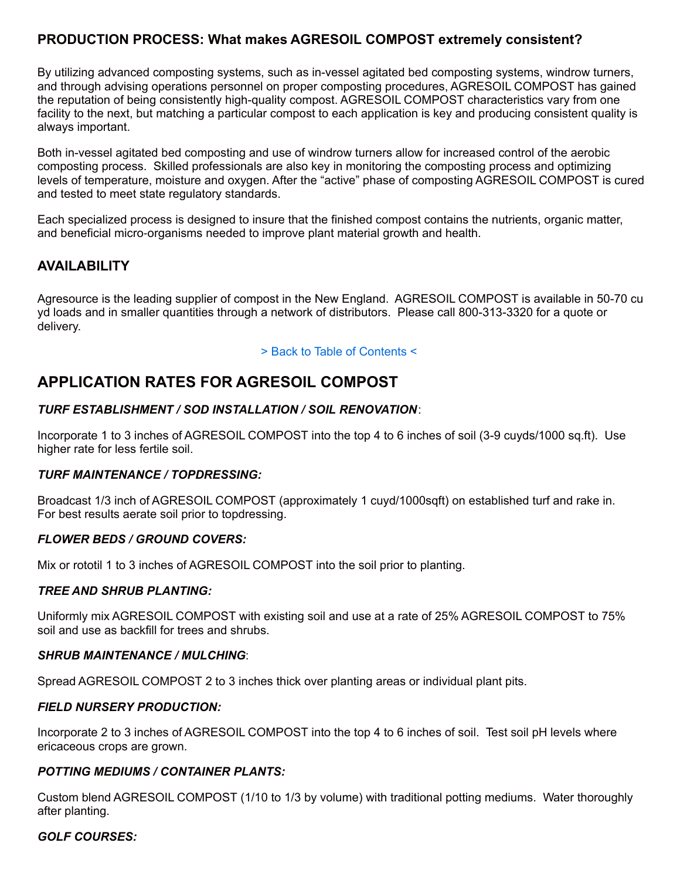# **PRODUCTION PROCESS: What makes AGRESOIL COMPOST extremely consistent?**

By utilizing advanced composting systems, such as in-vessel agitated bed composting systems, windrow turners, and through advising operations personnel on proper composting procedures, AGRESOIL COMPOST has gained the reputation of being consistently high-quality compost. AGRESOIL COMPOST characteristics vary from one facility to the next, but matching a particular compost to each application is key and producing consistent quality is always important.

Both in-vessel agitated bed composting and use of windrow turners allow for increased control of the aerobic composting process. Skilled professionals are also key in monitoring the composting process and optimizing levels of temperature, moisture and oxygen. After the "active" phase of composting AGRESOIL COMPOST is cured and tested to meet state regulatory standards.

Each specialized process is designed to insure that the finished compost contains the nutrients, organic matter, and beneficial micro‑organisms needed to improve plant material growth and health.

### **AVAILABILITY**

Agresource is the leading supplier of compost in the New England. AGRESOIL COMPOST is available in 50-70 cu yd loads and in smaller quantities through a network of distributors. Please call 800-313-3320 for a quote or delivery.

#### > Back to Table of Contents <

# **APPLICATION RATES FOR AGRESOIL COMPOST**

#### *TURF ESTABLISHMENT / SOD INSTALLATION / SOIL RENOVATION*:

Incorporate 1 to 3 inches of AGRESOIL COMPOST into the top 4 to 6 inches of soil (3-9 cuyds/1000 sq.ft). Use higher rate for less fertile soil.

#### *TURF MAINTENANCE / TOPDRESSING:*

Broadcast 1/3 inch of AGRESOIL COMPOST (approximately 1 cuyd/1000sqft) on established turf and rake in. For best results aerate soil prior to topdressing.

#### *FLOWER BEDS / GROUND COVERS:*

Mix or rototil 1 to 3 inches of AGRESOIL COMPOST into the soil prior to planting.

#### *TREE AND SHRUB PLANTING:*

Uniformly mix AGRESOIL COMPOST with existing soil and use at a rate of 25% AGRESOIL COMPOST to 75% soil and use as backfill for trees and shrubs.

#### *SHRUB MAINTENANCE / MULCHING*:

Spread AGRESOIL COMPOST 2 to 3 inches thick over planting areas or individual plant pits.

#### *FIELD NURSERY PRODUCTION:*

Incorporate 2 to 3 inches of AGRESOIL COMPOST into the top 4 to 6 inches of soil. Test soil pH levels where ericaceous crops are grown.

#### *POTTING MEDIUMS / CONTAINER PLANTS:*

Custom blend AGRESOIL COMPOST (1/10 to 1/3 by volume) with traditional potting mediums. Water thoroughly after planting.

#### *GOLF COURSES:*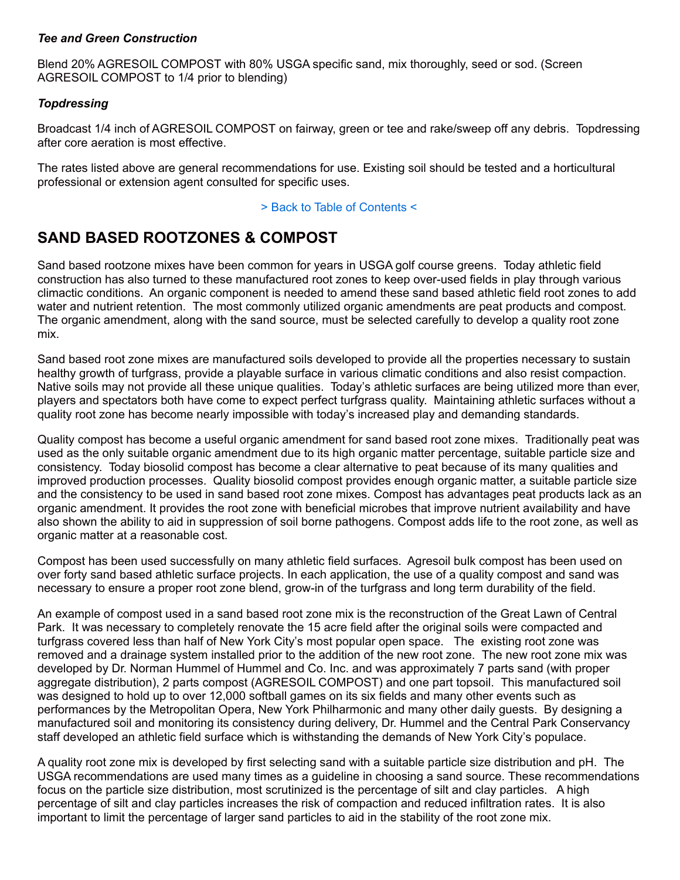#### *Tee and Green Construction*

Blend 20% AGRESOIL COMPOST with 80% USGA specific sand, mix thoroughly, seed or sod. (Screen AGRESOIL COMPOST to 1/4 prior to blending)

#### *Topdressing*

Broadcast 1/4 inch of AGRESOIL COMPOST on fairway, green or tee and rake/sweep off any debris. Topdressing after core aeration is most effective.

The rates listed above are general recommendations for use. Existing soil should be tested and a horticultural professional or extension agent consulted for specific uses.

#### > Back to Table of Contents <

# **SAND BASED ROOTZONES & COMPOST**

Sand based rootzone mixes have been common for years in USGA golf course greens. Today athletic field construction has also turned to these manufactured root zones to keep over-used fields in play through various climactic conditions. An organic component is needed to amend these sand based athletic field root zones to add water and nutrient retention. The most commonly utilized organic amendments are peat products and compost. The organic amendment, along with the sand source, must be selected carefully to develop a quality root zone mix.

Sand based root zone mixes are manufactured soils developed to provide all the properties necessary to sustain healthy growth of turfgrass, provide a playable surface in various climatic conditions and also resist compaction. Native soils may not provide all these unique qualities. Today's athletic surfaces are being utilized more than ever, players and spectators both have come to expect perfect turfgrass quality. Maintaining athletic surfaces without a quality root zone has become nearly impossible with today's increased play and demanding standards.

Quality compost has become a useful organic amendment for sand based root zone mixes. Traditionally peat was used as the only suitable organic amendment due to its high organic matter percentage, suitable particle size and consistency. Today biosolid compost has become a clear alternative to peat because of its many qualities and improved production processes. Quality biosolid compost provides enough organic matter, a suitable particle size and the consistency to be used in sand based root zone mixes. Compost has advantages peat products lack as an organic amendment. It provides the root zone with beneficial microbes that improve nutrient availability and have also shown the ability to aid in suppression of soil borne pathogens. Compost adds life to the root zone, as well as organic matter at a reasonable cost.

Compost has been used successfully on many athletic field surfaces. Agresoil bulk compost has been used on over forty sand based athletic surface projects. In each application, the use of a quality compost and sand was necessary to ensure a proper root zone blend, grow-in of the turfgrass and long term durability of the field.

An example of compost used in a sand based root zone mix is the reconstruction of the Great Lawn of Central Park. It was necessary to completely renovate the 15 acre field after the original soils were compacted and turfgrass covered less than half of New York City's most popular open space. The existing root zone was removed and a drainage system installed prior to the addition of the new root zone. The new root zone mix was developed by Dr. Norman Hummel of Hummel and Co. Inc. and was approximately 7 parts sand (with proper aggregate distribution), 2 parts compost (AGRESOIL COMPOST) and one part topsoil. This manufactured soil was designed to hold up to over 12,000 softball games on its six fields and many other events such as performances by the Metropolitan Opera, New York Philharmonic and many other daily guests. By designing a manufactured soil and monitoring its consistency during delivery, Dr. Hummel and the Central Park Conservancy staff developed an athletic field surface which is withstanding the demands of New York City's populace.

A quality root zone mix is developed by first selecting sand with a suitable particle size distribution and pH. The USGA recommendations are used many times as a guideline in choosing a sand source. These recommendations focus on the particle size distribution, most scrutinized is the percentage of silt and clay particles. A high percentage of silt and clay particles increases the risk of compaction and reduced infiltration rates. It is also important to limit the percentage of larger sand particles to aid in the stability of the root zone mix.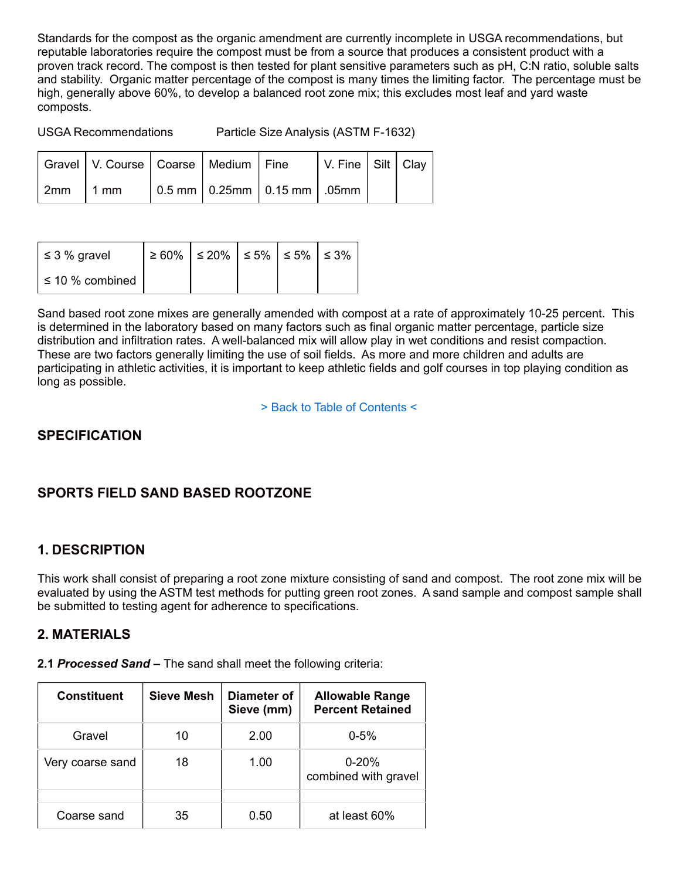Standards for the compost as the organic amendment are currently incomplete in USGA recommendations, but reputable laboratories require the compost must be from a source that produces a consistent product with a proven track record. The compost is then tested for plant sensitive parameters such as pH, C:N ratio, soluble salts and stability. Organic matter percentage of the compost is many times the limiting factor. The percentage must be high, generally above 60%, to develop a balanced root zone mix; this excludes most leaf and yard waste composts.

USGA Recommendations Particle Size Analysis (ASTM F-1632)

|            | Gravel   V. Course   Coarse   Medium   Fine |  |                                                             | V. Fine   Silt   Clay |  |
|------------|---------------------------------------------|--|-------------------------------------------------------------|-----------------------|--|
| $2mm$ 1 mm |                                             |  | $\vert$ 0.5 mm $\vert$ 0.25mm $\vert$ 0.15 mm $\vert$ .05mm |                       |  |

| $\leq$ 3 % gravel     | $\geq 60\%$   $\leq 20\%$   $\leq 5\%$   $\leq 5\%$   $\leq 3\%$ |  |  |
|-----------------------|------------------------------------------------------------------|--|--|
| $\leq 10 \%$ combined |                                                                  |  |  |

Sand based root zone mixes are generally amended with compost at a rate of approximately 10-25 percent. This is determined in the laboratory based on many factors such as final organic matter percentage, particle size distribution and infiltration rates. A well-balanced mix will allow play in wet conditions and resist compaction. These are two factors generally limiting the use of soil fields. As more and more children and adults are participating in athletic activities, it is important to keep athletic fields and golf courses in top playing condition as long as possible.

> Back to Table of Contents <

# **SPECIFICATION**

# **SPORTS FIELD SAND BASED ROOTZONE**

# **1. DESCRIPTION**

This work shall consist of preparing a root zone mixture consisting of sand and compost. The root zone mix will be evaluated by using the ASTM test methods for putting green root zones. A sand sample and compost sample shall be submitted to testing agent for adherence to specifications.

# **2. MATERIALS**

**2.1** *Processed Sand* **–** The sand shall meet the following criteria:

| <b>Constituent</b> | <b>Sieve Mesh</b> | Diameter of<br>Sieve (mm) | <b>Allowable Range</b><br><b>Percent Retained</b> |
|--------------------|-------------------|---------------------------|---------------------------------------------------|
| Gravel             | 10                | 2.00                      | $0 - 5%$                                          |
| Very coarse sand   | 18                | 1.00                      | $0 - 20%$<br>combined with gravel                 |
|                    |                   |                           |                                                   |
| Coarse sand        | 35                | 0.50                      | at least 60%                                      |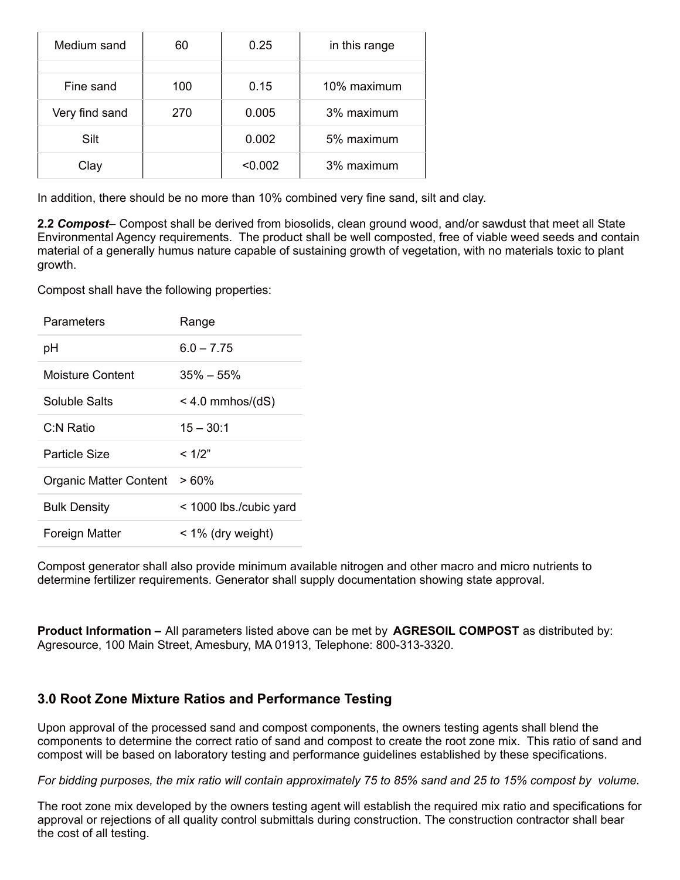| Medium sand    | 60  | 0.25    | in this range |
|----------------|-----|---------|---------------|
|                |     |         |               |
| Fine sand      | 100 | 0.15    | 10% maximum   |
| Very find sand | 270 | 0.005   | 3% maximum    |
| Silt           |     | 0.002   | 5% maximum    |
| Clay           |     | < 0.002 | 3% maximum    |

In addition, there should be no more than 10% combined very fine sand, silt and clay.

**2.2** *Compost*– Compost shall be derived from biosolids, clean ground wood, and/or sawdust that meet all State Environmental Agency requirements. The product shall be well composted, free of viable weed seeds and contain material of a generally humus nature capable of sustaining growth of vegetation, with no materials toxic to plant growth.

Compost shall have the following properties:

| Parameters             | Range                  |
|------------------------|------------------------|
| рH                     | $6.0 - 7.75$           |
| Moisture Content       | $35\% - 55\%$          |
| Soluble Salts          | $<$ 4.0 mmhos/(dS)     |
| C:N Ratio              | $15 - 30:1$            |
| Particle Size          | $<$ 1/2"               |
| Organic Matter Content | >60%                   |
| <b>Bulk Density</b>    | < 1000 lbs./cubic yard |
| Foreign Matter         | $<$ 1% (dry weight)    |

Compost generator shall also provide minimum available nitrogen and other macro and micro nutrients to determine fertilizer requirements. Generator shall supply documentation showing state approval.

**Product Information –** All parameters listed above can be met by **AGRESOIL COMPOST** as distributed by: Agresource, 100 Main Street, Amesbury, MA 01913, Telephone: 800-313-3320.

# **3.0 Root Zone Mixture Ratios and Performance Testing**

Upon approval of the processed sand and compost components, the owners testing agents shall blend the components to determine the correct ratio of sand and compost to create the root zone mix. This ratio of sand and compost will be based on laboratory testing and performance guidelines established by these specifications.

For bidding purposes, the mix ratio will contain approximately 75 to 85% sand and 25 to 15% compost by volume.

The root zone mix developed by the owners testing agent will establish the required mix ratio and specifications for approval or rejections of all quality control submittals during construction. The construction contractor shall bear the cost of all testing.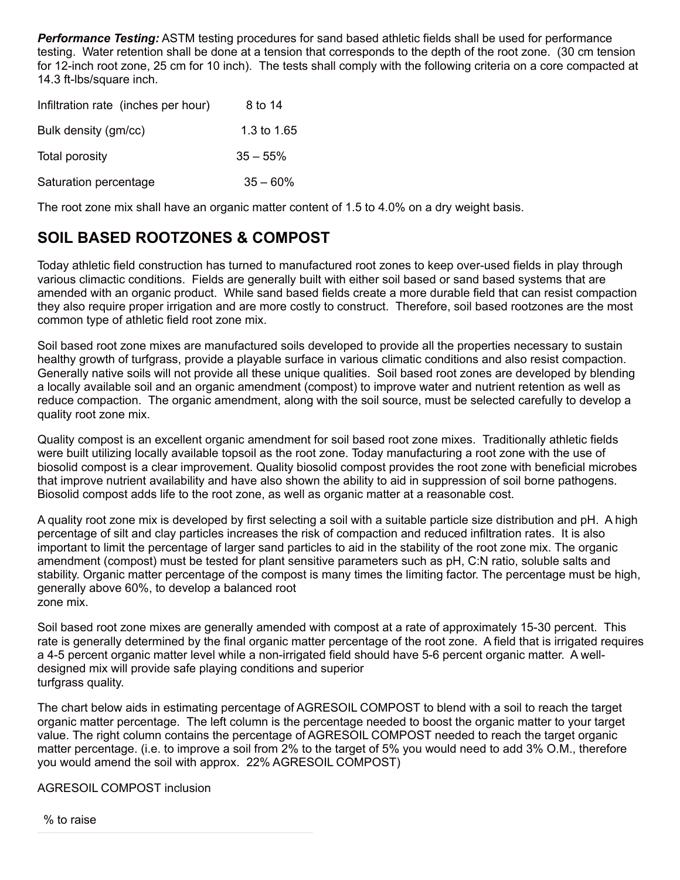*Performance Testing:* ASTM testing procedures for sand based athletic fields shall be used for performance testing. Water retention shall be done at a tension that corresponds to the depth of the root zone. (30 cm tension for 12-inch root zone, 25 cm for 10 inch). The tests shall comply with the following criteria on a core compacted at 14.3 ft-lbs/square inch.

| Infiltration rate (inches per hour) | 8 to 14     |
|-------------------------------------|-------------|
| Bulk density (gm/cc)                | 1.3 to 1.65 |
| Total porosity                      | $35 - 55%$  |
| Saturation percentage               | $35 - 60%$  |

The root zone mix shall have an organic matter content of 1.5 to 4.0% on a dry weight basis.

# **SOIL BASED ROOTZONES & COMPOST**

Today athletic field construction has turned to manufactured root zones to keep over-used fields in play through various climactic conditions. Fields are generally built with either soil based or sand based systems that are amended with an organic product. While sand based fields create a more durable field that can resist compaction they also require proper irrigation and are more costly to construct. Therefore, soil based rootzones are the most common type of athletic field root zone mix.

Soil based root zone mixes are manufactured soils developed to provide all the properties necessary to sustain healthy growth of turfgrass, provide a playable surface in various climatic conditions and also resist compaction. Generally native soils will not provide all these unique qualities. Soil based root zones are developed by blending a locally available soil and an organic amendment (compost) to improve water and nutrient retention as well as reduce compaction. The organic amendment, along with the soil source, must be selected carefully to develop a quality root zone mix.

Quality compost is an excellent organic amendment for soil based root zone mixes. Traditionally athletic fields were built utilizing locally available topsoil as the root zone. Today manufacturing a root zone with the use of biosolid compost is a clear improvement. Quality biosolid compost provides the root zone with beneficial microbes that improve nutrient availability and have also shown the ability to aid in suppression of soil borne pathogens. Biosolid compost adds life to the root zone, as well as organic matter at a reasonable cost.

A quality root zone mix is developed by first selecting a soil with a suitable particle size distribution and pH. A high percentage of silt and clay particles increases the risk of compaction and reduced infiltration rates. It is also important to limit the percentage of larger sand particles to aid in the stability of the root zone mix. The organic amendment (compost) must be tested for plant sensitive parameters such as pH, C:N ratio, soluble salts and stability. Organic matter percentage of the compost is many times the limiting factor. The percentage must be high, generally above 60%, to develop a balanced root zone mix.

Soil based root zone mixes are generally amended with compost at a rate of approximately 15-30 percent. This rate is generally determined by the final organic matter percentage of the root zone. A field that is irrigated requires a 4-5 percent organic matter level while a non-irrigated field should have 5-6 percent organic matter. A welldesigned mix will provide safe playing conditions and superior turfgrass quality.

The chart below aids in estimating percentage of AGRESOIL COMPOST to blend with a soil to reach the target organic matter percentage. The left column is the percentage needed to boost the organic matter to your target value. The right column contains the percentage of AGRESOIL COMPOST needed to reach the target organic matter percentage. (i.e. to improve a soil from 2% to the target of 5% you would need to add 3% O.M., therefore you would amend the soil with approx. 22% AGRESOIL COMPOST)

AGRESOIL COMPOST inclusion

% to raise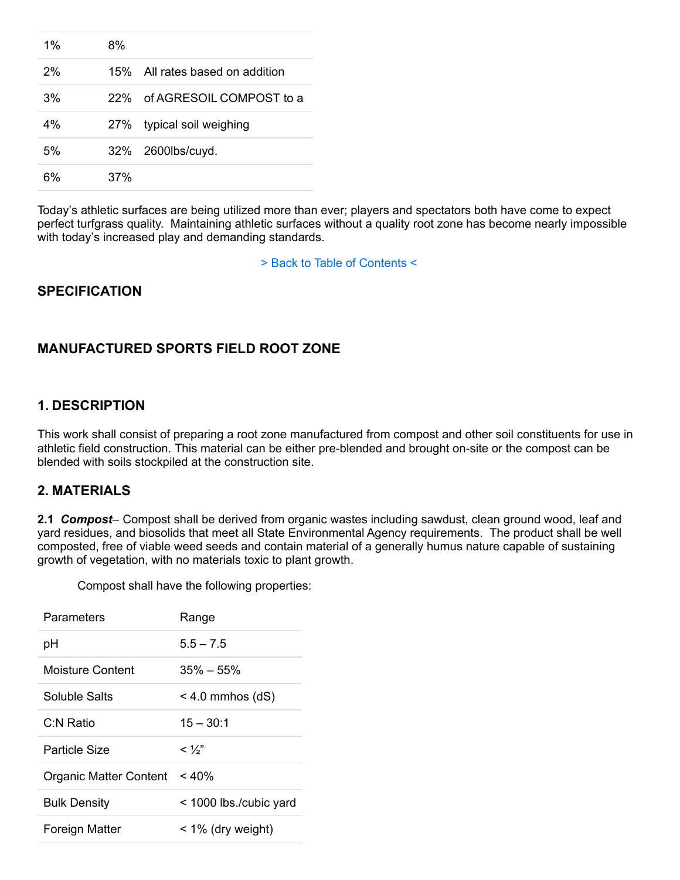| $1\%$ | 8%  |                                 |
|-------|-----|---------------------------------|
| 2%    |     | 15% All rates based on addition |
| 3%    |     | 22% of AGRESOIL COMPOST to a    |
| 4%    |     | 27% typical soil weighing       |
| 5%    |     | 32% 2600lbs/cuyd.               |
| 6%    | 37% |                                 |

Today's athletic surfaces are being utilized more than ever; players and spectators both have come to expect perfect turfgrass quality. Maintaining athletic surfaces without a quality root zone has become nearly impossible with today's increased play and demanding standards.

> Back to Table of Contents <

# **SPECIFICATION**

# **MANUFACTURED SPORTS FIELD ROOT ZONE**

#### **1. DESCRIPTION**

This work shall consist of preparing a root zone manufactured from compost and other soil constituents for use in athletic field construction. This material can be either pre-blended and brought on-site or the compost can be blended with soils stockpiled at the construction site.

### **2. MATERIALS**

**2.1** *Compost*– Compost shall be derived from organic wastes including sawdust, clean ground wood, leaf and yard residues, and biosolids that meet all State Environmental Agency requirements. The product shall be well composted, free of viable weed seeds and contain material of a generally humus nature capable of sustaining growth of vegetation, with no materials toxic to plant growth.

| Parameters             | Range                  |
|------------------------|------------------------|
| рH                     | $5.5 - 7.5$            |
| Moisture Content       | $35\% - 55\%$          |
| Soluble Salts          | $<$ 4.0 mmhos (dS)     |
| C:N Ratio              | $15 - 30:1$            |
| Particle Size          | $<\frac{1}{2}$         |
| Organic Matter Content | < 40%                  |
| <b>Bulk Density</b>    | < 1000 lbs./cubic yard |
| Foreign Matter         | $<$ 1% (dry weight)    |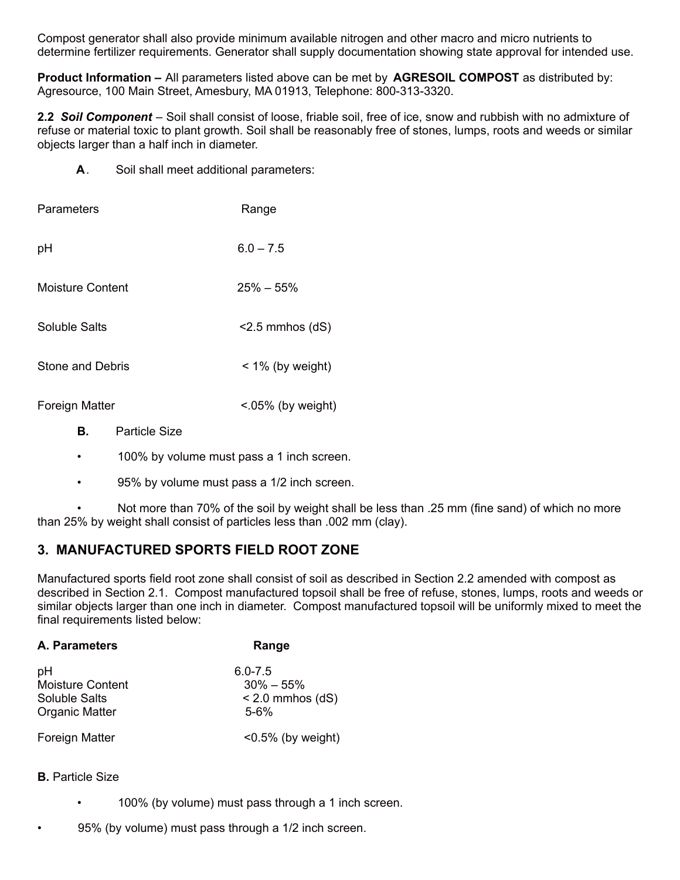Compost generator shall also provide minimum available nitrogen and other macro and micro nutrients to determine fertilizer requirements. Generator shall supply documentation showing state approval for intended use.

**Product Information –** All parameters listed above can be met by **AGRESOIL COMPOST** as distributed by: Agresource, 100 Main Street, Amesbury, MA 01913, Telephone: 800-313-3320.

**2.2** *Soil Component* – Soil shall consist of loose, friable soil, free of ice, snow and rubbish with no admixture of refuse or material toxic to plant growth. Soil shall be reasonably free of stones, lumps, roots and weeds or similar objects larger than a half inch in diameter.

**A**. Soil shall meet additional parameters:

| Parameters              | Range                  |
|-------------------------|------------------------|
| pH                      | $6.0 - 7.5$            |
| Moisture Content        | $25\% - 55\%$          |
| Soluble Salts           | $<$ 2.5 mmhos (dS)     |
| <b>Stone and Debris</b> | $<$ 1% (by weight)     |
| <b>Foreign Matter</b>   | $< 0.05\%$ (by weight) |

- **B.** Particle Size
- 100% by volume must pass a 1 inch screen.
- 95% by volume must pass a 1/2 inch screen.

• Not more than 70% of the soil by weight shall be less than .25 mm (fine sand) of which no more than 25% by weight shall consist of particles less than .002 mm (clay).

# **3. MANUFACTURED SPORTS FIELD ROOT ZONE**

Manufactured sports field root zone shall consist of soil as described in Section 2.2 amended with compost as described in Section 2.1. Compost manufactured topsoil shall be free of refuse, stones, lumps, roots and weeds or similar objects larger than one inch in diameter. Compost manufactured topsoil will be uniformly mixed to meet the final requirements listed below:

| A. Parameters         | Range                 |  |  |
|-----------------------|-----------------------|--|--|
| pH                    | $6.0 - 7.5$           |  |  |
| Moisture Content      | $30\% - 55\%$         |  |  |
| Soluble Salts         | $< 2.0$ mmhos (dS)    |  |  |
| <b>Organic Matter</b> | $5 - 6%$              |  |  |
| Foreign Matter        | $< 0.5\%$ (by weight) |  |  |

#### **B.** Particle Size

- 100% (by volume) must pass through a 1 inch screen.
- 95% (by volume) must pass through a 1/2 inch screen.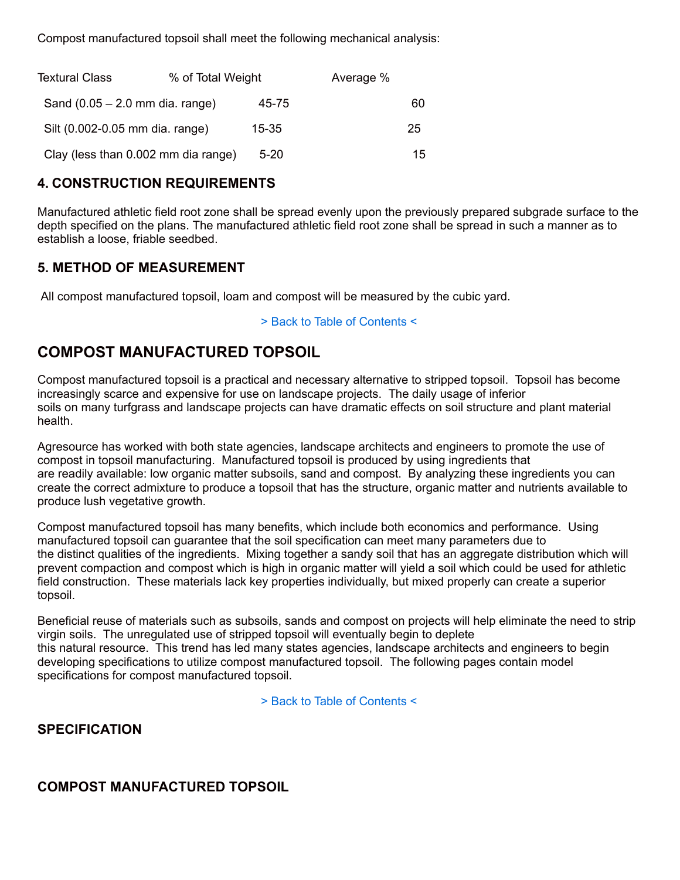Compost manufactured topsoil shall meet the following mechanical analysis:

| <b>Textural Class</b>               | % of Total Weight |           | Average % |    |
|-------------------------------------|-------------------|-----------|-----------|----|
| Sand $(0.05 - 2.0$ mm dia. range)   |                   | 45-75     |           | 60 |
| Silt (0.002-0.05 mm dia. range)     |                   | $15 - 35$ |           | 25 |
| Clay (less than 0.002 mm dia range) |                   | $5 - 20$  |           | 15 |

# **4. CONSTRUCTION REQUIREMENTS**

Manufactured athletic field root zone shall be spread evenly upon the previously prepared subgrade surface to the depth specified on the plans. The manufactured athletic field root zone shall be spread in such a manner as to establish a loose, friable seedbed.

# **5. METHOD OF MEASUREMENT**

All compost manufactured topsoil, loam and compost will be measured by the cubic yard.

#### > Back to Table of Contents <

# **COMPOST MANUFACTURED TOPSOIL**

Compost manufactured topsoil is a practical and necessary alternative to stripped topsoil. Topsoil has become increasingly scarce and expensive for use on landscape projects. The daily usage of inferior soils on many turfgrass and landscape projects can have dramatic effects on soil structure and plant material health.

Agresource has worked with both state agencies, landscape architects and engineers to promote the use of compost in topsoil manufacturing. Manufactured topsoil is produced by using ingredients that are readily available: low organic matter subsoils, sand and compost. By analyzing these ingredients you can create the correct admixture to produce a topsoil that has the structure, organic matter and nutrients available to produce lush vegetative growth.

Compost manufactured topsoil has many benefits, which include both economics and performance. Using manufactured topsoil can guarantee that the soil specification can meet many parameters due to the distinct qualities of the ingredients. Mixing together a sandy soil that has an aggregate distribution which will prevent compaction and compost which is high in organic matter will yield a soil which could be used for athletic field construction. These materials lack key properties individually, but mixed properly can create a superior topsoil.

Beneficial reuse of materials such as subsoils, sands and compost on projects will help eliminate the need to strip virgin soils. The unregulated use of stripped topsoil will eventually begin to deplete this natural resource. This trend has led many states agencies, landscape architects and engineers to begin developing specifications to utilize compost manufactured topsoil. The following pages contain model specifications for compost manufactured topsoil.

> Back to Table of Contents <

### **SPECIFICATION**

### **COMPOST MANUFACTURED TOPSOIL**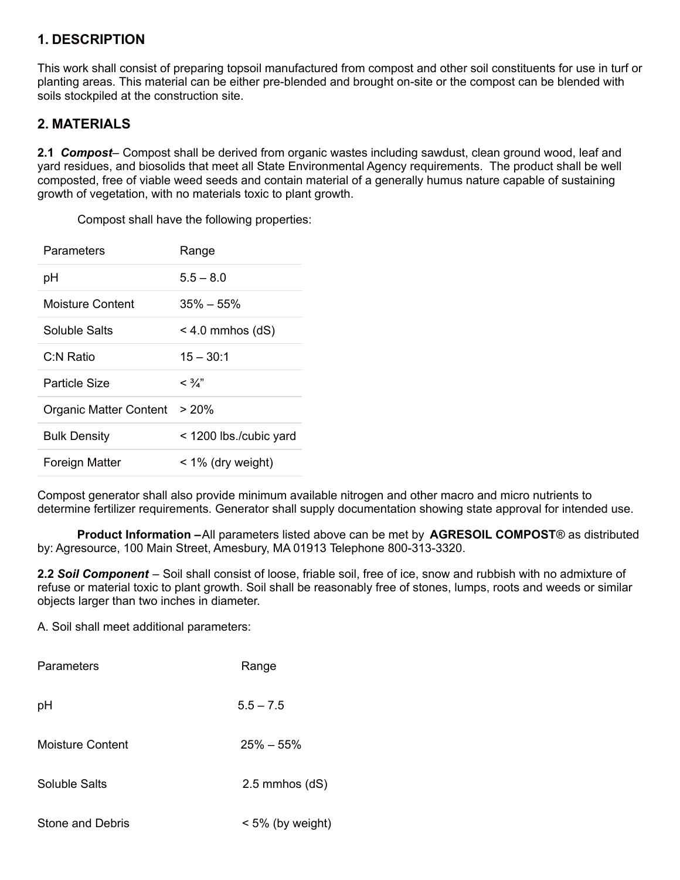# **1. DESCRIPTION**

This work shall consist of preparing topsoil manufactured from compost and other soil constituents for use in turf or planting areas. This material can be either pre-blended and brought on-site or the compost can be blended with soils stockpiled at the construction site.

# **2. MATERIALS**

**2.1** *Compost*– Compost shall be derived from organic wastes including sawdust, clean ground wood, leaf and yard residues, and biosolids that meet all State Environmental Agency requirements. The product shall be well composted, free of viable weed seeds and contain material of a generally humus nature capable of sustaining growth of vegetation, with no materials toxic to plant growth.

Compost shall have the following properties:

| Parameters             | Range                  |
|------------------------|------------------------|
| рH                     | $5.5 - 8.0$            |
| Moisture Content       | $35\% - 55\%$          |
| Soluble Salts          | $<$ 4.0 mmhos (dS)     |
| C:N Ratio              | $15 - 30:1$            |
| Particle Size          | $<\frac{3}{4}$ "       |
| Organic Matter Content | > 20%                  |
| <b>Bulk Density</b>    | < 1200 lbs./cubic yard |
| Foreign Matter         | < 1% (dry weight)      |

Compost generator shall also provide minimum available nitrogen and other macro and micro nutrients to determine fertilizer requirements. Generator shall supply documentation showing state approval for intended use.

**Product Information –**All parameters listed above can be met by **AGRESOIL COMPOST**® as distributed by: Agresource, 100 Main Street, Amesbury, MA 01913 Telephone 800-313-3320.

**2.2** *Soil Component* – Soil shall consist of loose, friable soil, free of ice, snow and rubbish with no admixture of refuse or material toxic to plant growth. Soil shall be reasonably free of stones, lumps, roots and weeds or similar objects larger than two inches in diameter.

A. Soil shall meet additional parameters:

| <b>Parameters</b>       | Range              |  |  |
|-------------------------|--------------------|--|--|
| рH                      | $5.5 - 7.5$        |  |  |
| <b>Moisture Content</b> | $25\% - 55\%$      |  |  |
| <b>Soluble Salts</b>    | $2.5$ mmhos $(dS)$ |  |  |
| Stone and Debris        | $<$ 5% (by weight) |  |  |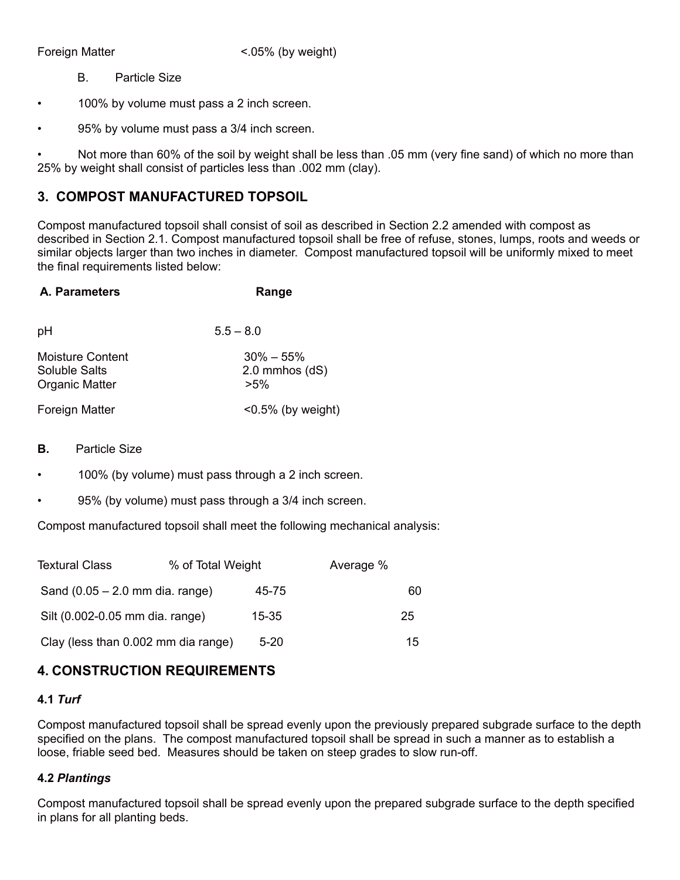Foreign Matter  $\leq 0.05\%$  (by weight)

B. Particle Size

• 100% by volume must pass a 2 inch screen.

• 95% by volume must pass a 3/4 inch screen.

Not more than 60% of the soil by weight shall be less than .05 mm (very fine sand) of which no more than 25% by weight shall consist of particles less than .002 mm (clay).

# **3. COMPOST MANUFACTURED TOPSOIL**

Compost manufactured topsoil shall consist of soil as described in Section 2.2 amended with compost as described in Section 2.1. Compost manufactured topsoil shall be free of refuse, stones, lumps, roots and weeds or similar objects larger than two inches in diameter. Compost manufactured topsoil will be uniformly mixed to meet the final requirements listed below:

| A. Parameters                                                     | Range                                         |
|-------------------------------------------------------------------|-----------------------------------------------|
| pH                                                                | $5.5 - 8.0$                                   |
| Moisture Content<br><b>Soluble Salts</b><br><b>Organic Matter</b> | $30\% - 55\%$<br>$2.0$ mmhos $(dS)$<br>$>5\%$ |
| <b>Foreign Matter</b>                                             | $< 0.5\%$ (by weight)                         |

- **B.** Particle Size
- 100% (by volume) must pass through a 2 inch screen.
- 95% (by volume) must pass through a 3/4 inch screen.

Compost manufactured topsoil shall meet the following mechanical analysis:

| <b>Textural Class</b>               | % of Total Weight |           | Average % |    |
|-------------------------------------|-------------------|-----------|-----------|----|
| Sand $(0.05 - 2.0$ mm dia. range)   |                   | 45-75     |           | 60 |
| Silt (0.002-0.05 mm dia. range)     |                   | $15 - 35$ |           | 25 |
| Clay (less than 0.002 mm dia range) |                   | $5 - 20$  |           | 15 |

# **4. CONSTRUCTION REQUIREMENTS**

#### **4.1** *Turf*

Compost manufactured topsoil shall be spread evenly upon the previously prepared subgrade surface to the depth specified on the plans. The compost manufactured topsoil shall be spread in such a manner as to establish a loose, friable seed bed. Measures should be taken on steep grades to slow run-off.

#### **4.2** *Plantings*

Compost manufactured topsoil shall be spread evenly upon the prepared subgrade surface to the depth specified in plans for all planting beds.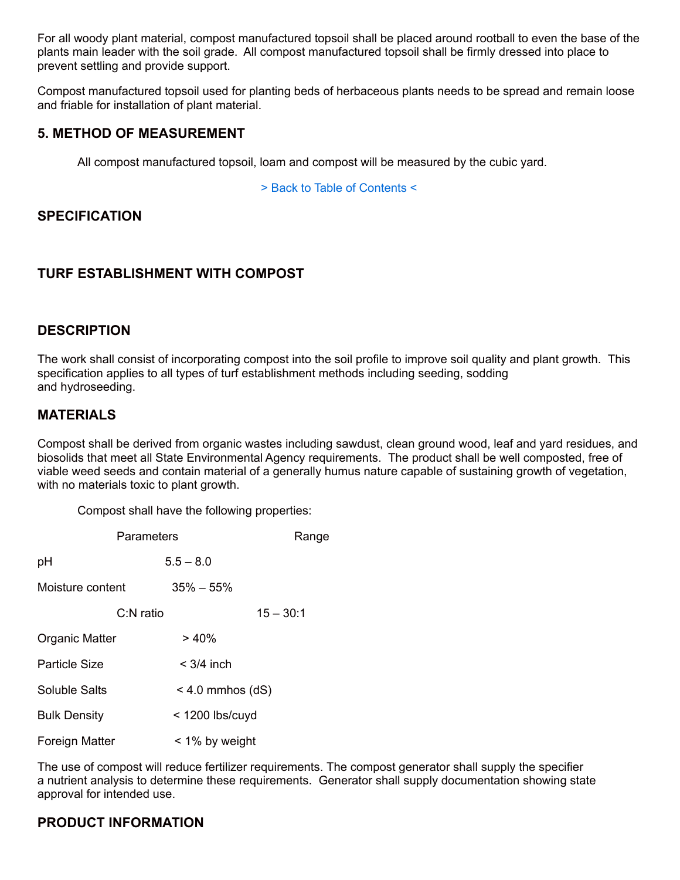For all woody plant material, compost manufactured topsoil shall be placed around rootball to even the base of the plants main leader with the soil grade. All compost manufactured topsoil shall be firmly dressed into place to prevent settling and provide support.

Compost manufactured topsoil used for planting beds of herbaceous plants needs to be spread and remain loose and friable for installation of plant material.

#### **5. METHOD OF MEASUREMENT**

All compost manufactured topsoil, loam and compost will be measured by the cubic yard.

> Back to Table of Contents <

# **SPECIFICATION**

# **TURF ESTABLISHMENT WITH COMPOST**

#### **DESCRIPTION**

The work shall consist of incorporating compost into the soil profile to improve soil quality and plant growth. This specification applies to all types of turf establishment methods including seeding, sodding and hydroseeding.

### **MATERIALS**

Compost shall be derived from organic wastes including sawdust, clean ground wood, leaf and yard residues, and biosolids that meet all State Environmental Agency requirements. The product shall be well composted, free of viable weed seeds and contain material of a generally humus nature capable of sustaining growth of vegetation, with no materials toxic to plant growth.

Compost shall have the following properties:

|                       | Parameters   |                    | Range       |
|-----------------------|--------------|--------------------|-------------|
| pH                    |              | $5.5 - 8.0$        |             |
| Moisture content      |              | $35\% - 55\%$      |             |
|                       | $C: N$ ratio |                    | $15 - 30:1$ |
| Organic Matter        |              | >40%               |             |
| <b>Particle Size</b>  |              | $<$ 3/4 inch       |             |
| Soluble Salts         |              | $<$ 4.0 mmhos (dS) |             |
| <b>Bulk Density</b>   |              | $<$ 1200 lbs/cuyd  |             |
| <b>Foreign Matter</b> |              | < 1% by weight     |             |

The use of compost will reduce fertilizer requirements. The compost generator shall supply the specifier a nutrient analysis to determine these requirements. Generator shall supply documentation showing state approval for intended use.

### **PRODUCT INFORMATION**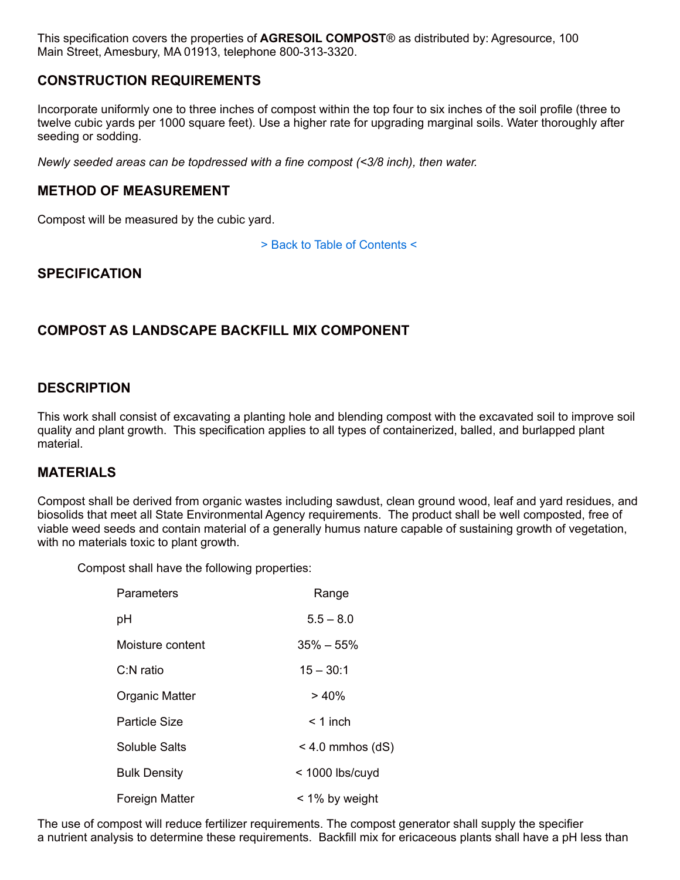This specification covers the properties of **AGRESOIL COMPOST**® as distributed by: Agresource, 100 Main Street, Amesbury, MA 01913, telephone 800-313-3320.

### **CONSTRUCTION REQUIREMENTS**

Incorporate uniformly one to three inches of compost within the top four to six inches of the soil profile (three to twelve cubic yards per 1000 square feet). Use a higher rate for upgrading marginal soils. Water thoroughly after seeding or sodding.

*Newly seeded areas can be topdressed with a fine compost (<3/8 inch), then water.*

#### **METHOD OF MEASUREMENT**

Compost will be measured by the cubic yard.

> Back to Table of Contents <

#### **SPECIFICATION**

#### **COMPOST AS LANDSCAPE BACKFILL MIX COMPONENT**

#### **DESCRIPTION**

This work shall consist of excavating a planting hole and blending compost with the excavated soil to improve soil quality and plant growth. This specification applies to all types of containerized, balled, and burlapped plant material.

#### **MATERIALS**

Compost shall be derived from organic wastes including sawdust, clean ground wood, leaf and yard residues, and biosolids that meet all State Environmental Agency requirements. The product shall be well composted, free of viable weed seeds and contain material of a generally humus nature capable of sustaining growth of vegetation, with no materials toxic to plant growth.

Compost shall have the following properties:

| Parameters           | Range              |
|----------------------|--------------------|
| рH                   | $5.5 - 8.0$        |
| Moisture content     | $35\% - 55\%$      |
| $C: N$ ratio         | $15 - 30:1$        |
| Organic Matter       | > 40%              |
| <b>Particle Size</b> | $<$ 1 inch         |
| Soluble Salts        | $<$ 4.0 mmhos (dS) |
| <b>Bulk Density</b>  | $<$ 1000 lbs/cuyd  |
| Foreign Matter       | < 1% by weight     |

The use of compost will reduce fertilizer requirements. The compost generator shall supply the specifier a nutrient analysis to determine these requirements. Backfill mix for ericaceous plants shall have a pH less than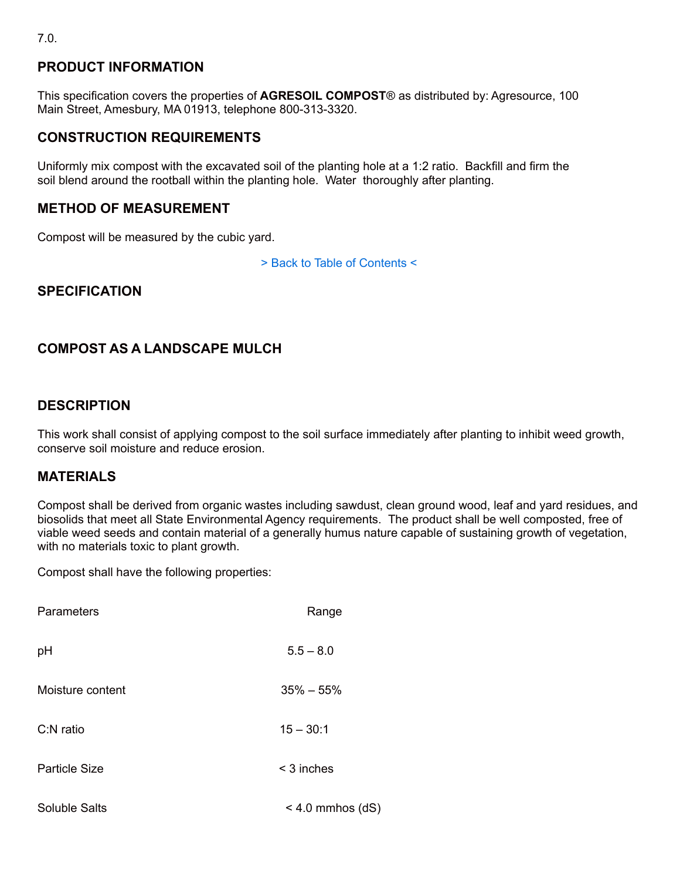# **PRODUCT INFORMATION**

This specification covers the properties of **AGRESOIL COMPOST**® as distributed by: Agresource, 100 Main Street, Amesbury, MA 01913, telephone 800-313-3320.

# **CONSTRUCTION REQUIREMENTS**

Uniformly mix compost with the excavated soil of the planting hole at a 1:2 ratio. Backfill and firm the soil blend around the rootball within the planting hole. Water thoroughly after planting.

## **METHOD OF MEASUREMENT**

Compost will be measured by the cubic yard.

> Back to Table of Contents <

# **SPECIFICATION**

# **COMPOST AS A LANDSCAPE MULCH**

### **DESCRIPTION**

This work shall consist of applying compost to the soil surface immediately after planting to inhibit weed growth, conserve soil moisture and reduce erosion.

### **MATERIALS**

Compost shall be derived from organic wastes including sawdust, clean ground wood, leaf and yard residues, and biosolids that meet all State Environmental Agency requirements. The product shall be well composted, free of viable weed seeds and contain material of a generally humus nature capable of sustaining growth of vegetation, with no materials toxic to plant growth.

| Parameters       | Range              |
|------------------|--------------------|
| pH               | $5.5 - 8.0$        |
| Moisture content | $35\% - 55\%$      |
| C:N ratio        | $15 - 30:1$        |
| Particle Size    | $<$ 3 inches       |
| Soluble Salts    | $<$ 4.0 mmhos (dS) |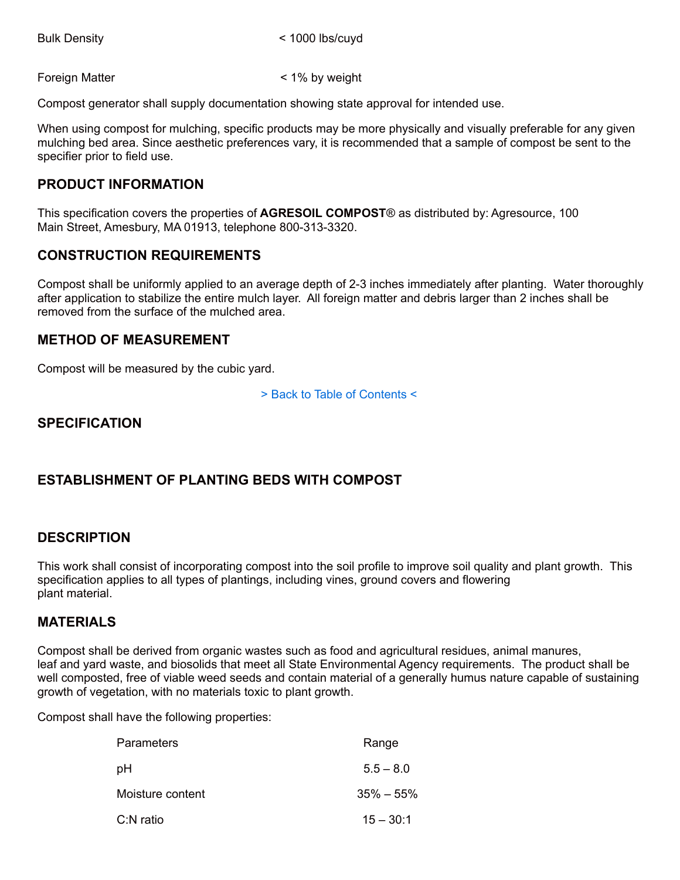Foreign Matter  $\leq 1\%$  by weight

Compost generator shall supply documentation showing state approval for intended use.

When using compost for mulching, specific products may be more physically and visually preferable for any given mulching bed area. Since aesthetic preferences vary, it is recommended that a sample of compost be sent to the specifier prior to field use.

# **PRODUCT INFORMATION**

This specification covers the properties of **AGRESOIL COMPOST**® as distributed by: Agresource, 100 Main Street, Amesbury, MA 01913, telephone 800-313-3320.

# **CONSTRUCTION REQUIREMENTS**

Compost shall be uniformly applied to an average depth of 2-3 inches immediately after planting. Water thoroughly after application to stabilize the entire mulch layer. All foreign matter and debris larger than 2 inches shall be removed from the surface of the mulched area.

#### **METHOD OF MEASUREMENT**

Compost will be measured by the cubic yard.

> Back to Table of Contents <

# **SPECIFICATION**

# **ESTABLISHMENT OF PLANTING BEDS WITH COMPOST**

### **DESCRIPTION**

This work shall consist of incorporating compost into the soil profile to improve soil quality and plant growth. This specification applies to all types of plantings, including vines, ground covers and flowering plant material.

#### **MATERIALS**

Compost shall be derived from organic wastes such as food and agricultural residues, animal manures, leaf and yard waste, and biosolids that meet all State Environmental Agency requirements. The product shall be well composted, free of viable weed seeds and contain material of a generally humus nature capable of sustaining growth of vegetation, with no materials toxic to plant growth.

| <b>Parameters</b> | Range         |
|-------------------|---------------|
| pH                | $5.5 - 8.0$   |
| Moisture content  | $35\% - 55\%$ |
| C:N ratio         | $15 - 30:1$   |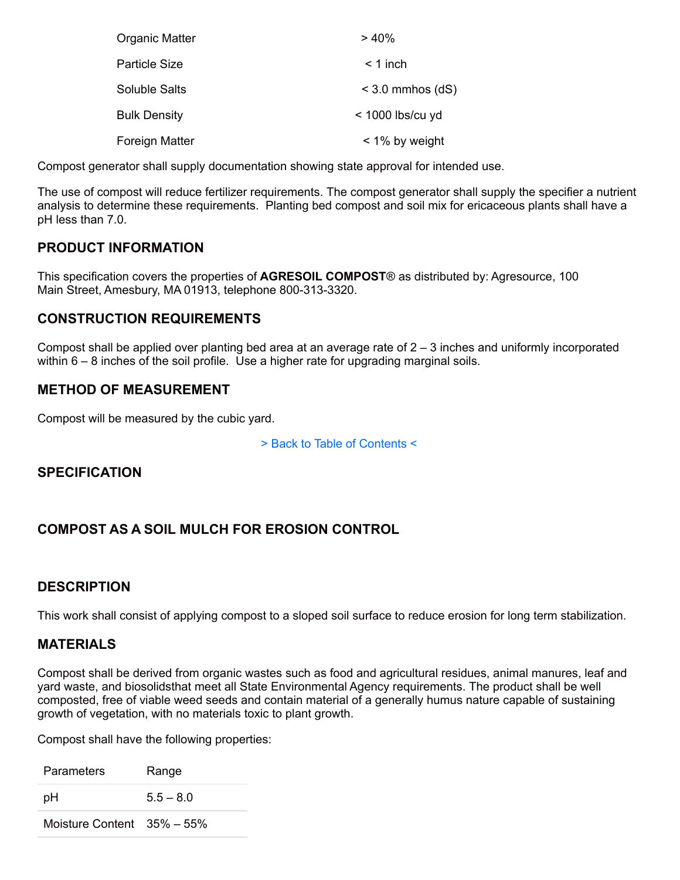| Organic Matter       | > 40%              |
|----------------------|--------------------|
| Particle Size        | $<$ 1 inch         |
| <b>Soluble Salts</b> | $<$ 3.0 mmhos (dS) |
| <b>Bulk Density</b>  | $<$ 1000 lbs/cu yd |
| Foreign Matter       | $<$ 1% by weight   |

Compost generator shall supply documentation showing state approval for intended use.

The use of compost will reduce fertilizer requirements. The compost generator shall supply the specifier a nutrient analysis to determine these requirements. Planting bed compost and soil mix for ericaceous plants shall have a pH less than 7.0.

# **PRODUCT INFORMATION**

This specification covers the properties of **AGRESOIL COMPOST**® as distributed by: Agresource, 100 Main Street, Amesbury, MA 01913, telephone 800-313-3320.

# **CONSTRUCTION REQUIREMENTS**

Compost shall be applied over planting bed area at an average rate of 2 – 3 inches and uniformly incorporated within  $6 - 8$  inches of the soil profile. Use a higher rate for upgrading marginal soils.

# **METHOD OF MEASUREMENT**

Compost will be measured by the cubic yard.

> Back to Table of Contents <

# **SPECIFICATION**

# **COMPOST AS A SOIL MULCH FOR EROSION CONTROL**

### **DESCRIPTION**

This work shall consist of applying compost to a sloped soil surface to reduce erosion for long term stabilization.

#### **MATERIALS**

Compost shall be derived from organic wastes such as food and agricultural residues, animal manures, leaf and yard waste, and biosolidsthat meet all State Environmental Agency requirements. The product shall be well composted, free of viable weed seeds and contain material of a generally humus nature capable of sustaining growth of vegetation, with no materials toxic to plant growth.

| Parameters                     | Range       |
|--------------------------------|-------------|
| pН                             | $5.5 - 8.0$ |
| Moisture Content $35\% - 55\%$ |             |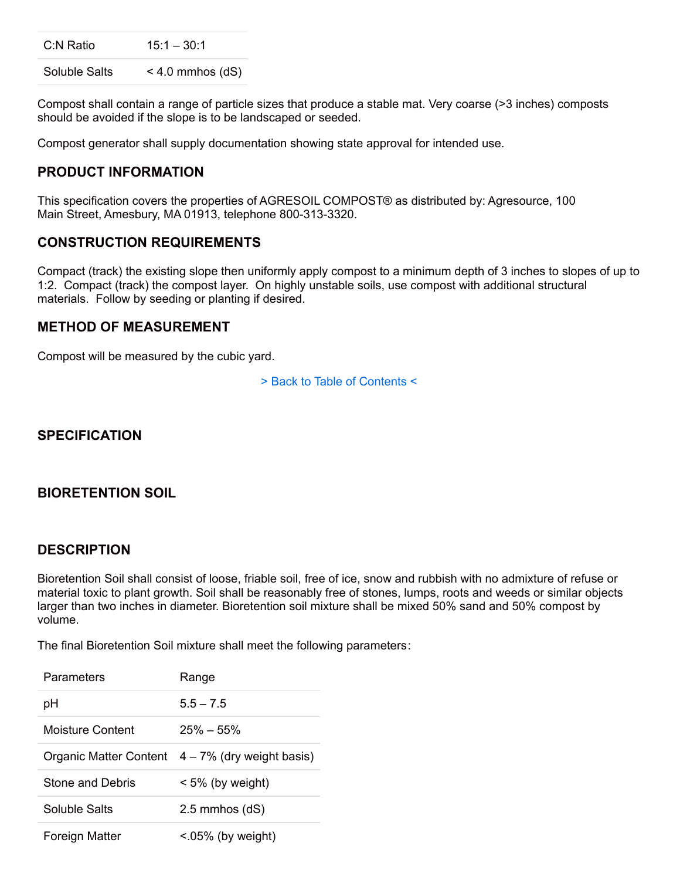C:N Ratio 15:1 – 30:1

Soluble Salts < 4.0 mmhos (dS)

Compost shall contain a range of particle sizes that produce a stable mat. Very coarse (>3 inches) composts should be avoided if the slope is to be landscaped or seeded.

Compost generator shall supply documentation showing state approval for intended use.

### **PRODUCT INFORMATION**

This specification covers the properties of AGRESOIL COMPOST® as distributed by: Agresource, 100 Main Street, Amesbury, MA 01913, telephone 800-313-3320.

#### **CONSTRUCTION REQUIREMENTS**

Compact (track) the existing slope then uniformly apply compost to a minimum depth of 3 inches to slopes of up to 1:2. Compact (track) the compost layer. On highly unstable soils, use compost with additional structural materials. Follow by seeding or planting if desired.

#### **METHOD OF MEASUREMENT**

Compost will be measured by the cubic yard.

> Back to Table of Contents <

# **SPECIFICATION**

#### **BIORETENTION SOIL**

#### **DESCRIPTION**

Bioretention Soil shall consist of loose, friable soil, free of ice, snow and rubbish with no admixture of refuse or material toxic to plant growth. Soil shall be reasonably free of stones, lumps, roots and weeds or similar objects larger than two inches in diameter. Bioretention soil mixture shall be mixed 50% sand and 50% compost by volume.

The final Bioretention Soil mixture shall meet the following parameters:

| Parameters       | Range                                            |
|------------------|--------------------------------------------------|
| рH               | $55 - 75$                                        |
| Moisture Content | $25\% - 55\%$                                    |
|                  | Organic Matter Content $4-7%$ (dry weight basis) |
| Stone and Debris | $< 5\%$ (by weight)                              |
| Soluble Salts    | 2.5 mmhos (dS)                                   |
| Foreign Matter   | $< 05\%$ (by weight)                             |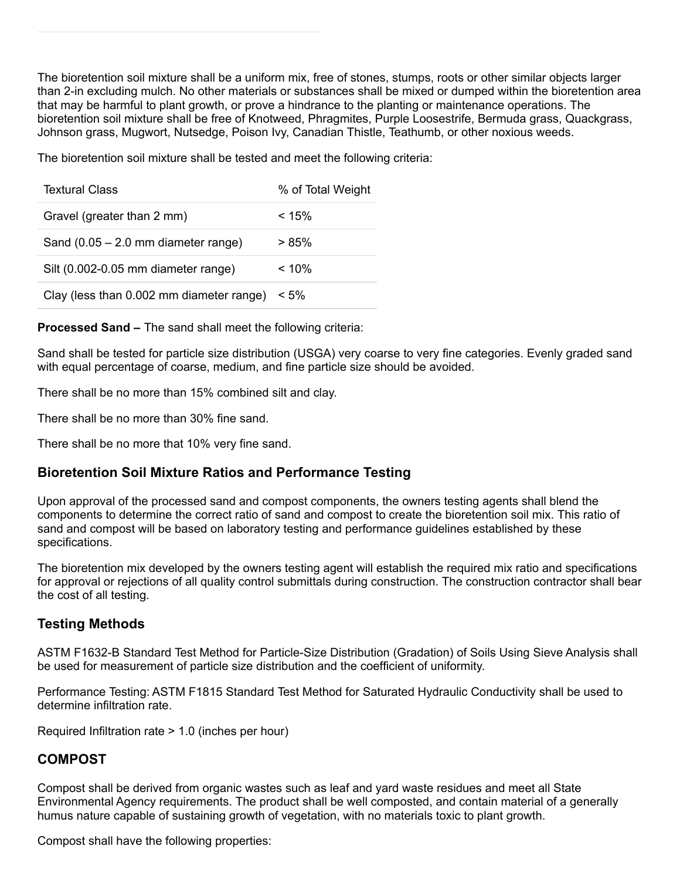The bioretention soil mixture shall be a uniform mix, free of stones, stumps, roots or other similar objects larger than 2-in excluding mulch. No other materials or substances shall be mixed or dumped within the bioretention area that may be harmful to plant growth, or prove a hindrance to the planting or maintenance operations. The bioretention soil mixture shall be free of Knotweed, Phragmites, Purple Loosestrife, Bermuda grass, Quackgrass, Johnson grass, Mugwort, Nutsedge, Poison Ivy, Canadian Thistle, Teathumb, or other noxious weeds.

The bioretention soil mixture shall be tested and meet the following criteria:

| <b>Textural Class</b>                    | % of Total Weight |
|------------------------------------------|-------------------|
| Gravel (greater than 2 mm)               | < 15%             |
| Sand $(0.05 - 2.0$ mm diameter range)    | > 85%             |
| Silt (0.002-0.05 mm diameter range)      | $< 10\%$          |
| Clay (less than 0.002 mm diameter range) | $< 5\%$           |

**Processed Sand –** The sand shall meet the following criteria:

Sand shall be tested for particle size distribution (USGA) very coarse to very fine categories. Evenly graded sand with equal percentage of coarse, medium, and fine particle size should be avoided.

There shall be no more than 15% combined silt and clay.

There shall be no more than 30% fine sand.

There shall be no more that 10% very fine sand.

### **Bioretention Soil Mixture Ratios and Performance Testing**

Upon approval of the processed sand and compost components, the owners testing agents shall blend the components to determine the correct ratio of sand and compost to create the bioretention soil mix. This ratio of sand and compost will be based on laboratory testing and performance guidelines established by these specifications.

The bioretention mix developed by the owners testing agent will establish the required mix ratio and specifications for approval or rejections of all quality control submittals during construction. The construction contractor shall bear the cost of all testing.

### **Testing Methods**

ASTM F1632-B Standard Test Method for Particle-Size Distribution (Gradation) of Soils Using Sieve Analysis shall be used for measurement of particle size distribution and the coefficient of uniformity.

Performance Testing: ASTM F1815 Standard Test Method for Saturated Hydraulic Conductivity shall be used to determine infiltration rate.

Required Infiltration rate > 1.0 (inches per hour)

### **COMPOST**

Compost shall be derived from organic wastes such as leaf and yard waste residues and meet all State Environmental Agency requirements. The product shall be well composted, and contain material of a generally humus nature capable of sustaining growth of vegetation, with no materials toxic to plant growth.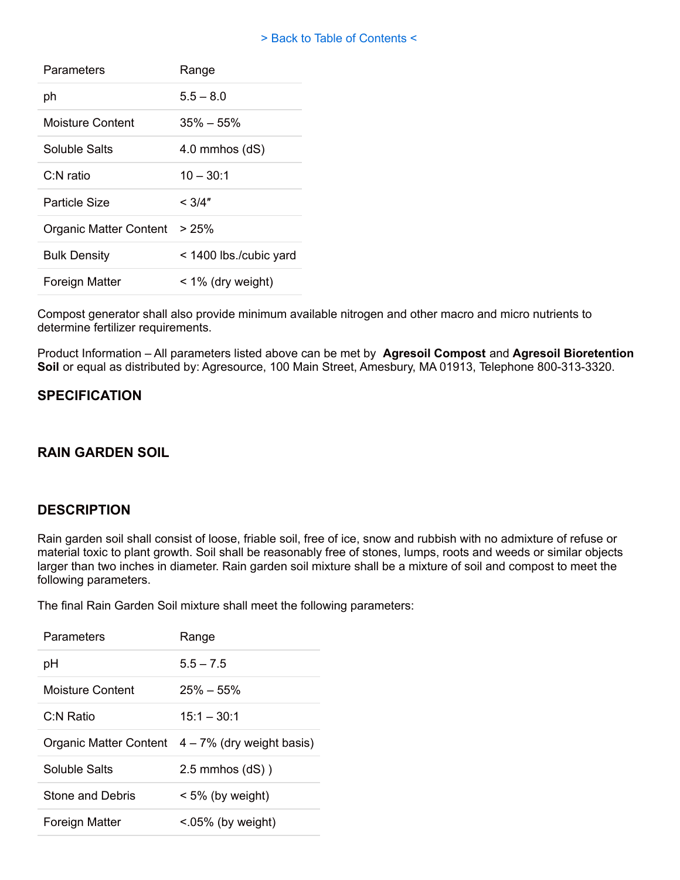#### > Back to Table of Contents <

| Parameters             | Range                  |
|------------------------|------------------------|
| ph                     | $5.5 - 8.0$            |
| Moisture Content       | $35\% - 55\%$          |
| Soluble Salts          | $4.0$ mmhos $(dS)$     |
| $C1N$ ratio            | $10 - 30:1$            |
| Particle Size          | $<$ 3/4"               |
| Organic Matter Content | >25%                   |
| <b>Bulk Density</b>    | < 1400 lbs./cubic yard |
| Foreign Matter         | $<$ 1% (dry weight)    |

Compost generator shall also provide minimum available nitrogen and other macro and micro nutrients to determine fertilizer requirements.

Product Information – All parameters listed above can be met by **Agresoil Compost** and **Agresoil Bioretention Soil** or equal as distributed by: Agresource, 100 Main Street, Amesbury, MA 01913, Telephone 800-313-3320.

### **SPECIFICATION**

## **RAIN GARDEN SOIL**

#### **DESCRIPTION**

Rain garden soil shall consist of loose, friable soil, free of ice, snow and rubbish with no admixture of refuse or material toxic to plant growth. Soil shall be reasonably free of stones, lumps, roots and weeds or similar objects larger than two inches in diameter. Rain garden soil mixture shall be a mixture of soil and compost to meet the following parameters.

The final Rain Garden Soil mixture shall meet the following parameters:

| Parameters       | Range                                            |
|------------------|--------------------------------------------------|
| рH               | $55 - 75$                                        |
| Moisture Content | $25\% - 55\%$                                    |
| C:N Ratio        | $15:1 - 30:1$                                    |
|                  | Organic Matter Content $4-7%$ (dry weight basis) |
| Soluble Salts    | $2.5$ mmhos $(dS)$ )                             |
| Stone and Debris | $< 5\%$ (by weight)                              |
| Foreign Matter   |                                                  |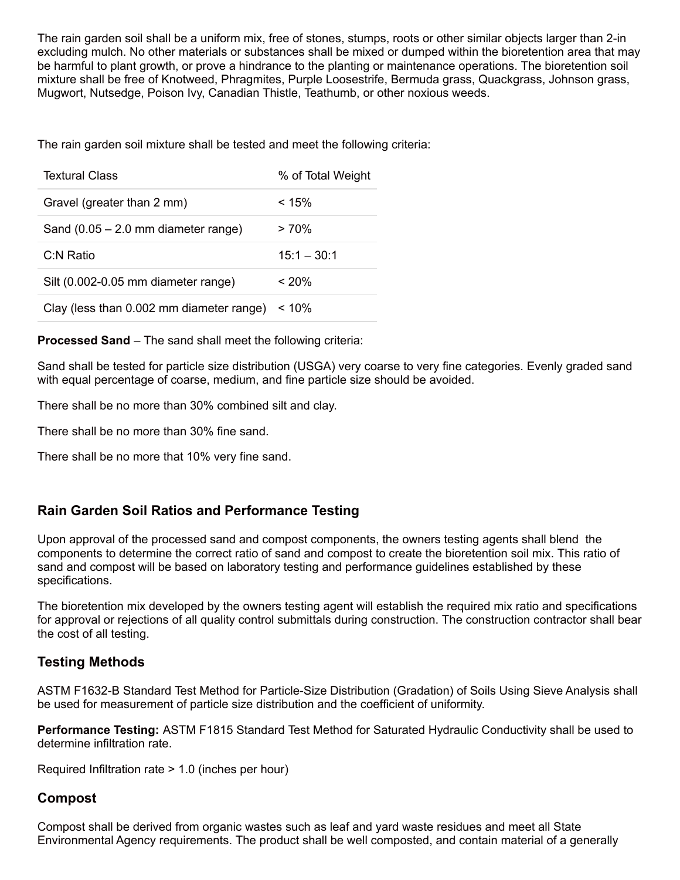The rain garden soil shall be a uniform mix, free of stones, stumps, roots or other similar objects larger than 2-in excluding mulch. No other materials or substances shall be mixed or dumped within the bioretention area that may be harmful to plant growth, or prove a hindrance to the planting or maintenance operations. The bioretention soil mixture shall be free of Knotweed, Phragmites, Purple Loosestrife, Bermuda grass, Quackgrass, Johnson grass, Mugwort, Nutsedge, Poison Ivy, Canadian Thistle, Teathumb, or other noxious weeds.

The rain garden soil mixture shall be tested and meet the following criteria:

| <b>Textural Class</b>                    | % of Total Weight |
|------------------------------------------|-------------------|
| Gravel (greater than 2 mm)               | < 15%             |
| Sand $(0.05 - 2.0$ mm diameter range)    | >70%              |
| C:N Ratio                                | $15:1 - 30:1$     |
| Silt (0.002-0.05 mm diameter range)      | < 20%             |
| Clay (less than 0.002 mm diameter range) | $< 10\%$          |

**Processed Sand** – The sand shall meet the following criteria:

Sand shall be tested for particle size distribution (USGA) very coarse to very fine categories. Evenly graded sand with equal percentage of coarse, medium, and fine particle size should be avoided.

There shall be no more than 30% combined silt and clay.

There shall be no more than 30% fine sand.

There shall be no more that 10% very fine sand.

# **Rain Garden Soil Ratios and Performance Testing**

Upon approval of the processed sand and compost components, the owners testing agents shall blend the components to determine the correct ratio of sand and compost to create the bioretention soil mix. This ratio of sand and compost will be based on laboratory testing and performance guidelines established by these specifications.

The bioretention mix developed by the owners testing agent will establish the required mix ratio and specifications for approval or rejections of all quality control submittals during construction. The construction contractor shall bear the cost of all testing.

### **Testing Methods**

ASTM F1632-B Standard Test Method for Particle-Size Distribution (Gradation) of Soils Using Sieve Analysis shall be used for measurement of particle size distribution and the coefficient of uniformity.

**Performance Testing:** ASTM F1815 Standard Test Method for Saturated Hydraulic Conductivity shall be used to determine infiltration rate.

Required Infiltration rate > 1.0 (inches per hour)

### **Compost**

Compost shall be derived from organic wastes such as leaf and yard waste residues and meet all State Environmental Agency requirements. The product shall be well composted, and contain material of a generally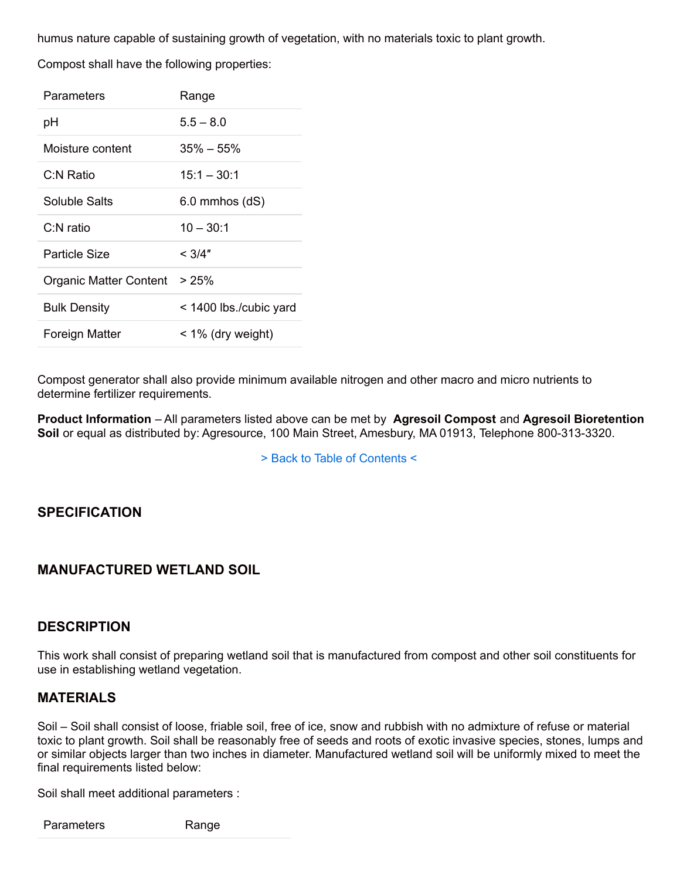humus nature capable of sustaining growth of vegetation, with no materials toxic to plant growth.

Compost shall have the following properties:

| Parameters                   | Range                  |
|------------------------------|------------------------|
| рH                           | $5.5 - 8.0$            |
| Moisture content             | $35\% - 55\%$          |
| C:N Ratio                    | $15:1 - 30:1$          |
| Soluble Salts                | $6.0$ mmhos $(dS)$     |
| C:N ratio                    | $10 - 30:1$            |
| Particle Size                | $<$ 3/4"               |
| Organic Matter Content > 25% |                        |
| <b>Bulk Density</b>          | < 1400 lbs./cubic yard |
| Foreign Matter               | $<$ 1% (dry weight)    |

Compost generator shall also provide minimum available nitrogen and other macro and micro nutrients to determine fertilizer requirements.

**Product Information** – All parameters listed above can be met by **Agresoil Compost** and **Agresoil Bioretention Soil** or equal as distributed by: Agresource, 100 Main Street, Amesbury, MA 01913, Telephone 800-313-3320.

> Back to Table of Contents <

### **SPECIFICATION**

### **MANUFACTURED WETLAND SOIL**

#### **DESCRIPTION**

This work shall consist of preparing wetland soil that is manufactured from compost and other soil constituents for use in establishing wetland vegetation.

#### **MATERIALS**

Soil – Soil shall consist of loose, friable soil, free of ice, snow and rubbish with no admixture of refuse or material toxic to plant growth. Soil shall be reasonably free of seeds and roots of exotic invasive species, stones, lumps and or similar objects larger than two inches in diameter. Manufactured wetland soil will be uniformly mixed to meet the final requirements listed below:

Soil shall meet additional parameters :

Parameters Range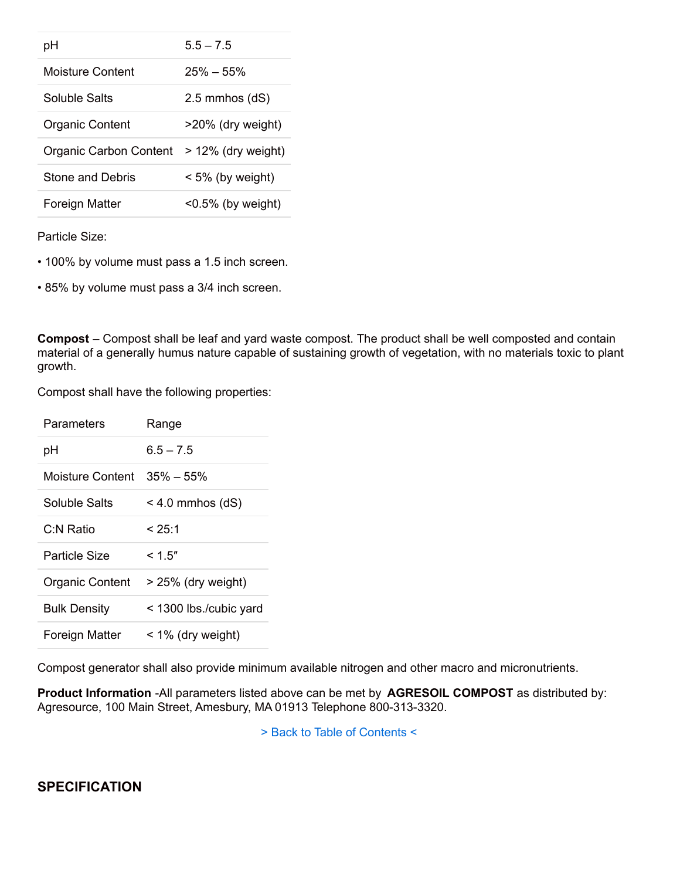| рH                            | $55 - 75$               |
|-------------------------------|-------------------------|
| Moisture Content              | $25\% - 55\%$           |
| Soluble Salts                 | $2.5$ mmhos $(dS)$      |
| <b>Organic Content</b>        | $>20\%$ (dry weight)    |
| <b>Organic Carbon Content</b> | $> 12\%$ (dry weight)   |
| <b>Stone and Debris</b>       | $< 5\%$ (by weight)     |
| Foreign Matter                | $\leq$ 0.5% (by weight) |

Particle Size:

• 100% by volume must pass a 1.5 inch screen.

• 85% by volume must pass a 3/4 inch screen.

**Compost** – Compost shall be leaf and yard waste compost. The product shall be well composted and contain material of a generally humus nature capable of sustaining growth of vegetation, with no materials toxic to plant growth.

Compost shall have the following properties:

| Parameters          | Range                  |
|---------------------|------------------------|
| рH                  | $6.5 - 7.5$            |
| Moisture Content_   | $35\% - 55\%$          |
| Soluble Salts       | $<$ 4.0 mmhos (dS)     |
| C:N Ratio           | < 25:1                 |
| Particle Size       | < 1.5"                 |
| Organic Content     | > 25% (dry weight)     |
| <b>Bulk Density</b> | < 1300 lbs./cubic yard |
| Foreign Matter      | $<$ 1% (dry weight)    |

Compost generator shall also provide minimum available nitrogen and other macro and micronutrients.

**Product Information** -All parameters listed above can be met by **AGRESOIL COMPOST** as distributed by: Agresource, 100 Main Street, Amesbury, MA 01913 Telephone 800-313-3320.

> Back to Table of Contents <

**SPECIFICATION**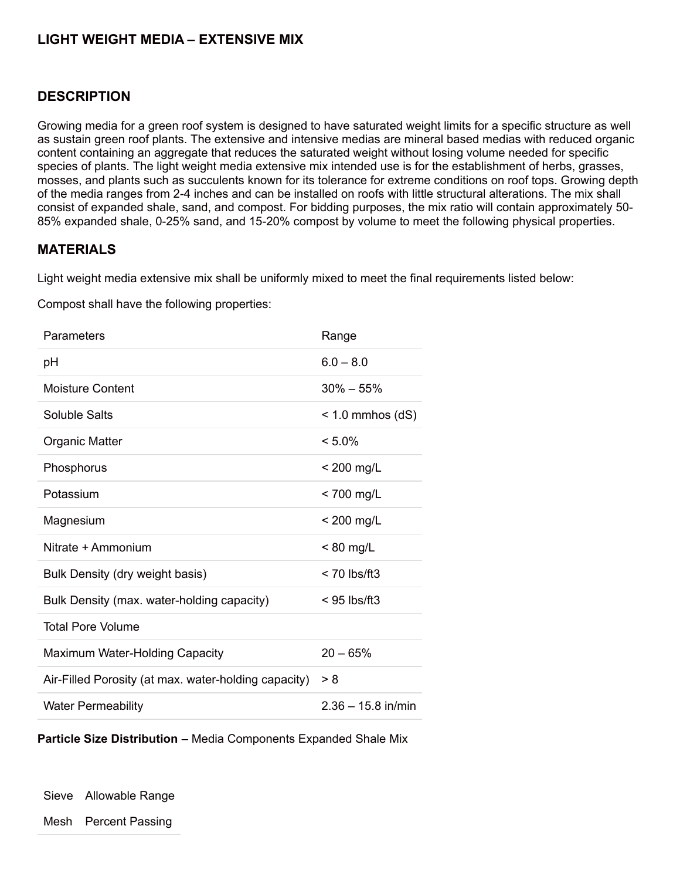# **LIGHT WEIGHT MEDIA – EXTENSIVE MIX**

#### **DESCRIPTION**

Growing media for a green roof system is designed to have saturated weight limits for a specific structure as well as sustain green roof plants. The extensive and intensive medias are mineral based medias with reduced organic content containing an aggregate that reduces the saturated weight without losing volume needed for specific species of plants. The light weight media extensive mix intended use is for the establishment of herbs, grasses, mosses, and plants such as succulents known for its tolerance for extreme conditions on roof tops. Growing depth of the media ranges from 2-4 inches and can be installed on roofs with little structural alterations. The mix shall consist of expanded shale, sand, and compost. For bidding purposes, the mix ratio will contain approximately 50- 85% expanded shale, 0-25% sand, and 15-20% compost by volume to meet the following physical properties.

#### **MATERIALS**

Light weight media extensive mix shall be uniformly mixed to meet the final requirements listed below:

Compost shall have the following properties:

| Parameters                                           | Range                |
|------------------------------------------------------|----------------------|
| рH                                                   | $6.0 - 8.0$          |
| <b>Moisture Content</b>                              | $30\% - 55\%$        |
| Soluble Salts                                        | $<$ 1.0 mmhos (dS)   |
| Organic Matter                                       | $< 5.0\%$            |
| Phosphorus                                           | $<$ 200 mg/L         |
| Potassium                                            | $<$ 700 mg/L         |
| Magnesium                                            | $< 200$ mg/L         |
| Nitrate + Ammonium                                   | $< 80$ mg/L          |
| Bulk Density (dry weight basis)                      | $< 70$ lbs/ft3       |
| Bulk Density (max. water-holding capacity)           | $<$ 95 lbs/ft3       |
| <b>Total Pore Volume</b>                             |                      |
| Maximum Water-Holding Capacity                       | $20 - 65%$           |
| Air-Filled Porosity (at max. water-holding capacity) | > 8                  |
| <b>Water Permeability</b>                            | $2.36 - 15.8$ in/min |

**Particle Size Distribution** – Media Components Expanded Shale Mix

Sieve Allowable Range

Mesh Percent Passing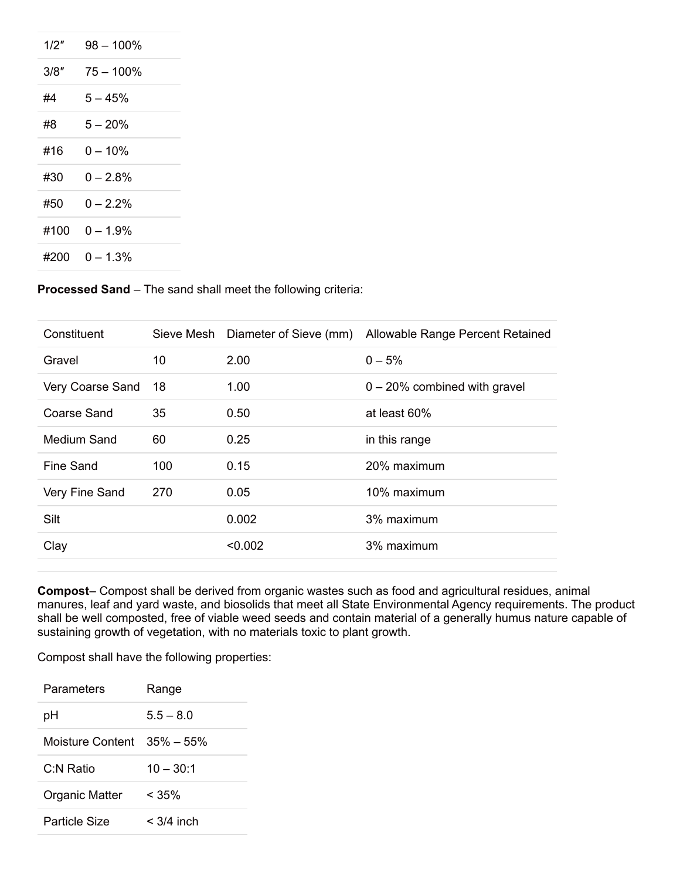| 1/2" | 98 – 100%    |
|------|--------------|
| 3/8″ | $75 - 100\%$ |
| #4   | $5 - 45%$    |
| #8   | $5 - 20%$    |
| #16  | 0 – 10%      |
| #30  | በ – 2 ጸ%     |
| #50  | በ – 2 2%     |
| #100 | በ – 1 9%     |
| #200 | በ – 1 3%     |
|      |              |

**Processed Sand** – The sand shall meet the following criteria:

| Constituent      | Sieve Mesh | Diameter of Sieve (mm) | Allowable Range Percent Retained |
|------------------|------------|------------------------|----------------------------------|
| Gravel           | 10         | 2.00                   | $0 - 5%$                         |
| Very Coarse Sand | 18         | 1.00                   | $0 - 20\%$ combined with gravel  |
| Coarse Sand      | 35         | 0.50                   | at least 60%                     |
| Medium Sand      | 60         | 0.25                   | in this range                    |
| Fine Sand        | 100        | 0.15                   | 20% maximum                      |
| Very Fine Sand   | 270        | 0.05                   | 10% maximum                      |
| Silt             |            | 0.002                  | 3% maximum                       |
| Clay             |            | < 0.002                | 3% maximum                       |
|                  |            |                        |                                  |

**Compost**– Compost shall be derived from organic wastes such as food and agricultural residues, animal manures, leaf and yard waste, and biosolids that meet all State Environmental Agency requirements. The product shall be well composted, free of viable weed seeds and contain material of a generally humus nature capable of sustaining growth of vegetation, with no materials toxic to plant growth.

| Parameters                 | Range        |
|----------------------------|--------------|
| рH                         | $55 - 80$    |
| Moisture Content 35% – 55% |              |
| C:N Ratio                  | $10 - 30:1$  |
| <b>Organic Matter</b>      | $< 35\%$     |
| <b>Particle Size</b>       | $<$ 3/4 inch |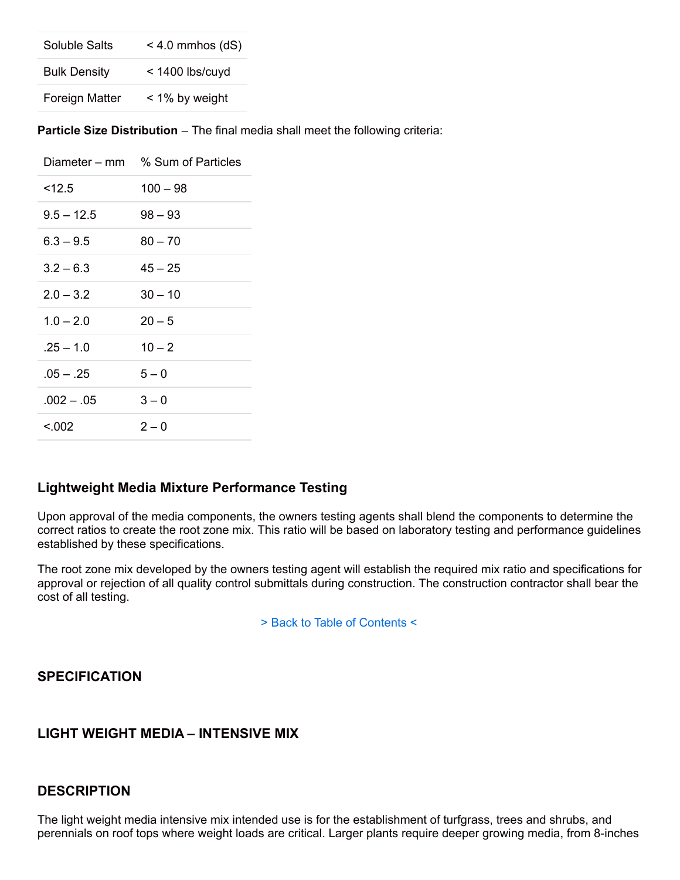| Soluble Salts       | $<$ 4.0 mmhos (dS) |
|---------------------|--------------------|
| <b>Bulk Density</b> | $<$ 1400 lbs/cuyd  |
| Foreign Matter      | < 1% by weight     |

**Particle Size Distribution** – The final media shall meet the following criteria:

|              | Diameter – mm % Sum of Particles |
|--------------|----------------------------------|
| $<$ 12.5     | $100 - 98$                       |
| $9.5 - 12.5$ | $98 - 93$                        |
| $6.3 - 9.5$  | $80 - 70$                        |
| $3.2 - 6.3$  | $45 - 25$                        |
| $2.0 - 3.2$  | $30 - 10$                        |
| $1.0 - 2.0$  | $20 - 5$                         |
| $.25 - 1.0$  | $10 - 2$                         |
| $.05 - .25$  | $5 - 0$                          |
| $.002 - .05$ | $3 - 0$                          |
| < 0.02       | $2 - 0$                          |

### **Lightweight Media Mixture Performance Testing**

Upon approval of the media components, the owners testing agents shall blend the components to determine the correct ratios to create the root zone mix. This ratio will be based on laboratory testing and performance guidelines established by these specifications.

The root zone mix developed by the owners testing agent will establish the required mix ratio and specifications for approval or rejection of all quality control submittals during construction. The construction contractor shall bear the cost of all testing.

> Back to Table of Contents <

### **SPECIFICATION**

# **LIGHT WEIGHT MEDIA – INTENSIVE MIX**

# **DESCRIPTION**

The light weight media intensive mix intended use is for the establishment of turfgrass, trees and shrubs, and perennials on roof tops where weight loads are critical. Larger plants require deeper growing media, from 8-inches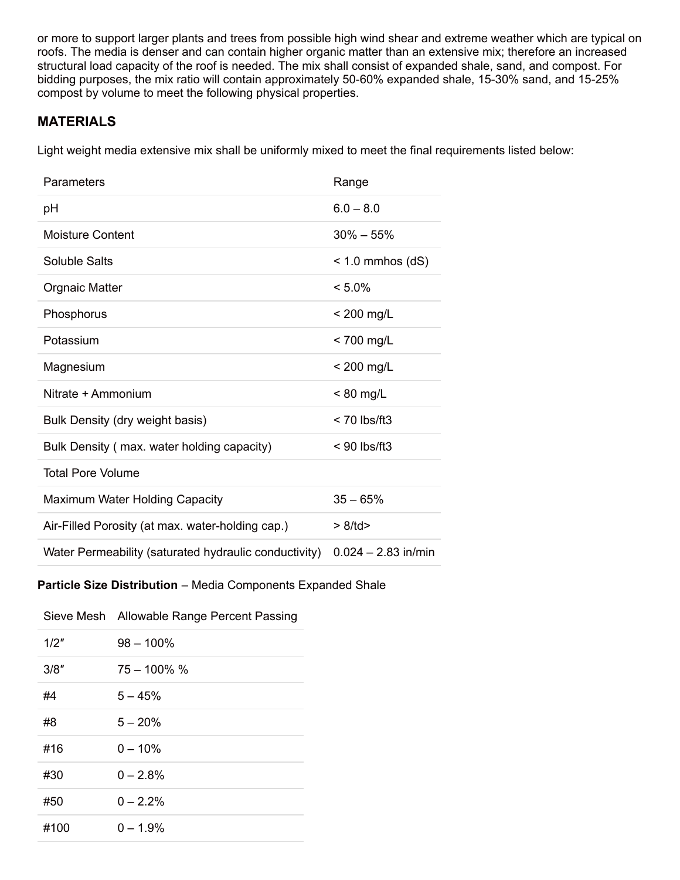or more to support larger plants and trees from possible high wind shear and extreme weather which are typical on roofs. The media is denser and can contain higher organic matter than an extensive mix; therefore an increased structural load capacity of the roof is needed. The mix shall consist of expanded shale, sand, and compost. For bidding purposes, the mix ratio will contain approximately 50-60% expanded shale, 15-30% sand, and 15-25% compost by volume to meet the following physical properties.

# **MATERIALS**

Light weight media extensive mix shall be uniformly mixed to meet the final requirements listed below:

| Parameters                                            | Range                 |
|-------------------------------------------------------|-----------------------|
| рH                                                    | $6.0 - 8.0$           |
| <b>Moisture Content</b>                               | $30\% - 55\%$         |
| Soluble Salts                                         | $<$ 1.0 mmhos (dS)    |
| <b>Orgnaic Matter</b>                                 | $< 5.0\%$             |
| Phosphorus                                            | $<$ 200 mg/L          |
| Potassium                                             | < 700 mg/L            |
| Magnesium                                             | $<$ 200 mg/L          |
| Nitrate + Ammonium                                    | $< 80$ mg/L           |
| Bulk Density (dry weight basis)                       | $<$ 70 lbs/ft3        |
| Bulk Density (max. water holding capacity)            | $< 90$ lbs/ft3        |
| <b>Total Pore Volume</b>                              |                       |
| Maximum Water Holding Capacity                        | $35 - 65%$            |
| Air-Filled Porosity (at max. water-holding cap.)      | > 8/td                |
| Water Permeability (saturated hydraulic conductivity) | $0.024 - 2.83$ in/min |

#### **Particle Size Distribution** – Media Components Expanded Shale

|      | Sieve Mesh Allowable Range Percent Passing |
|------|--------------------------------------------|
| 1/2" | $98 - 100\%$                               |
| 3/8" | $75 - 100\%$ %                             |
| #4   | $5 - 45%$                                  |
| #8   | $5 - 20%$                                  |
| #16  | $0 - 10\%$                                 |
| #30  | $0 - 2.8%$                                 |
| #50  | $0 - 2.2%$                                 |
| #100 | $0 - 1.9%$                                 |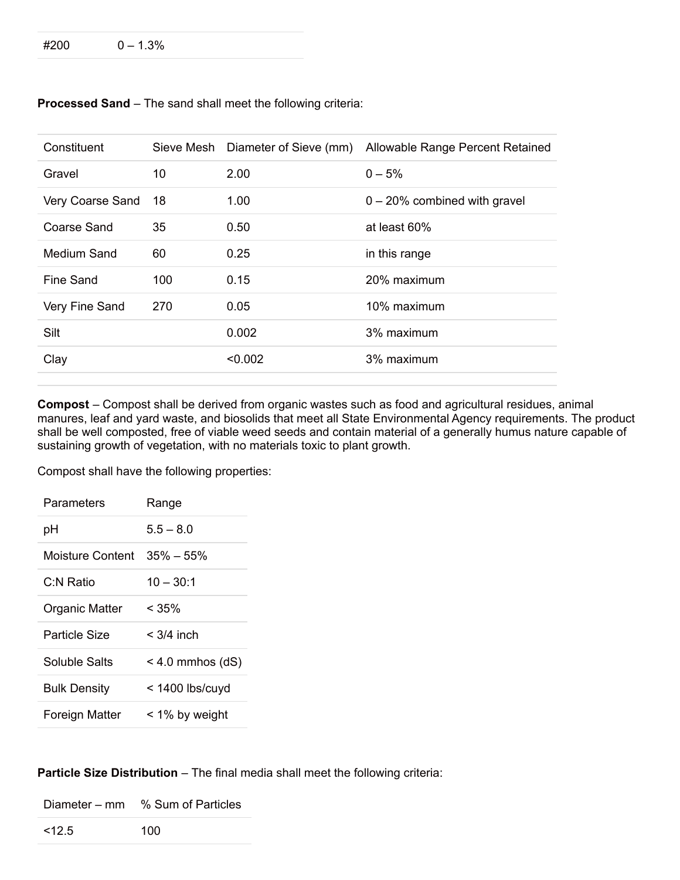#### $\#200$  0 – 1.3%

| Constituent      |     | Sieve Mesh Diameter of Sieve (mm) | Allowable Range Percent Retained |
|------------------|-----|-----------------------------------|----------------------------------|
| Gravel           | 10  | 2.00                              | $0 - 5%$                         |
| Very Coarse Sand | 18  | 1.00                              | $0 - 20\%$ combined with gravel  |
| Coarse Sand      | 35  | 0.50                              | at least 60%                     |
| Medium Sand      | 60  | 0.25                              | in this range                    |
| Fine Sand        | 100 | 0.15                              | 20% maximum                      |
| Very Fine Sand   | 270 | 0.05                              | 10% maximum                      |
| Silt             |     | 0.002                             | 3% maximum                       |
| Clay             |     | < 0.002                           | 3% maximum                       |
|                  |     |                                   |                                  |

**Processed Sand** – The sand shall meet the following criteria:

**Compost** – Compost shall be derived from organic wastes such as food and agricultural residues, animal manures, leaf and yard waste, and biosolids that meet all State Environmental Agency requirements. The product shall be well composted, free of viable weed seeds and contain material of a generally humus nature capable of sustaining growth of vegetation, with no materials toxic to plant growth.

Compost shall have the following properties:

| Parameters          | Range              |
|---------------------|--------------------|
| рH                  | $5.5 - 8.0$        |
| Moisture Content    | $35\% - 55\%$      |
| C:N Ratio           | $10 - 30.1$        |
| Organic Matter      | < 35%              |
| Particle Size       | $<$ 3/4 inch       |
| Soluble Salts       | $<$ 4.0 mmhos (dS) |
| <b>Bulk Density</b> | $<$ 1400 lbs/cuyd  |
| Foreign Matter      | < 1% by weight     |

#### **Particle Size Distribution** – The final media shall meet the following criteria:

Diameter – mm % Sum of Particles

 $\leq 12.5$  100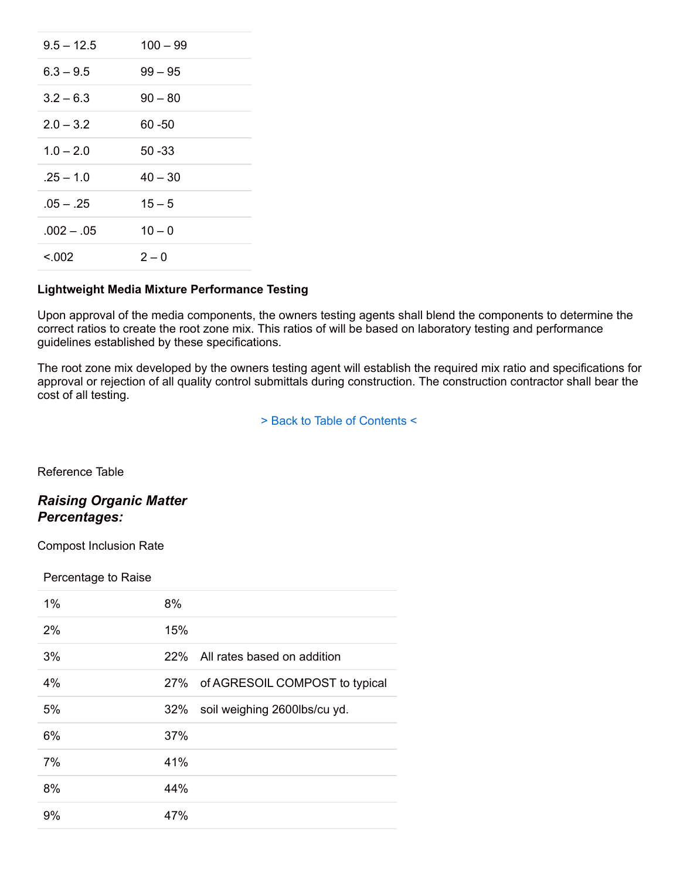| $9.5 - 12.5$ | $100 - 99$ |
|--------------|------------|
| $6.3 - 9.5$  | $99 - 95$  |
| $3.2 - 6.3$  | $90 - 80$  |
| $2.0 - 3.2$  | 60 -50     |
| $1.0 - 2.0$  | $50 - 33$  |
| $.25 - 1.0$  | $40 - 30$  |
| $.05 - .25$  | $15 - 5$   |
| $.002 - .05$ | $10 - 0$   |
| < 0.02       | $2 - 0$    |

#### **Lightweight Media Mixture Performance Testing**

Upon approval of the media components, the owners testing agents shall blend the components to determine the correct ratios to create the root zone mix. This ratios of will be based on laboratory testing and performance guidelines established by these specifications.

The root zone mix developed by the owners testing agent will establish the required mix ratio and specifications for approval or rejection of all quality control submittals during construction. The construction contractor shall bear the cost of all testing.

> Back to Table of Contents <

Reference Table

# *Raising Organic Matter Percentages:*

Compost Inclusion Rate

#### Percentage to Raise

| 1% | 8%                                  |
|----|-------------------------------------|
| 2% | 15%                                 |
| 3% | All rates based on addition<br>22%  |
| 4% | 27% of AGRESOIL COMPOST to typical  |
| 5% | soil weighing 2600lbs/cu yd.<br>32% |
| 6% | 37%                                 |
| 7% | 41%                                 |
| 8% | 44%                                 |
| 9% | 47%                                 |